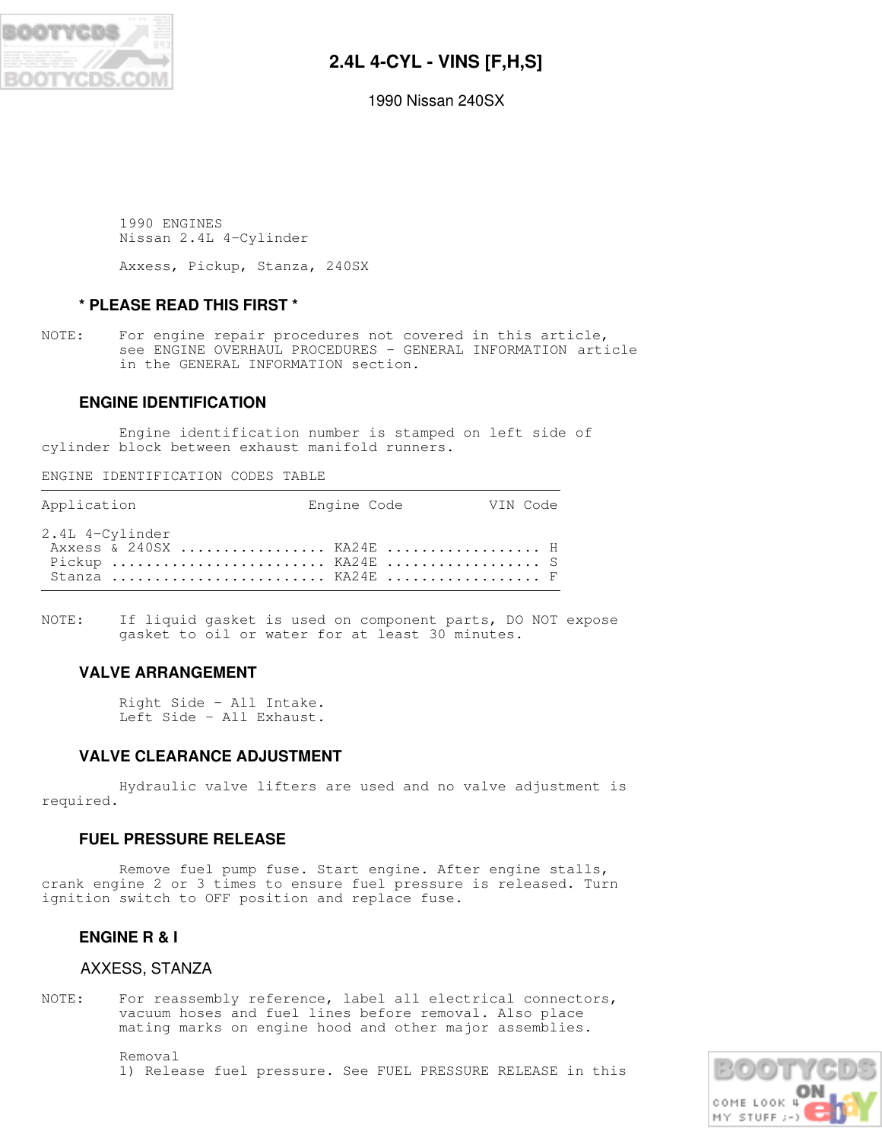

# **2.4L 4-CYL - VINS [F,H,S]**

1990 Nissan 240SX

 1990 ENGINES Nissan 2.4L 4-Cylinder

Axxess, Pickup, Stanza, 240SX

## **\* PLEASE READ THIS FIRST \***

NOTE: For engine repair procedures not covered in this article, see ENGINE OVERHAUL PROCEDURES - GENERAL INFORMATION article in the GENERAL INFORMATION section.

## **ENGINE IDENTIFICATION**

 Engine identification number is stamped on left side of cylinder block between exhaust manifold runners.

ENGINE IDENTIFICATION CODES TABLE

| Application                                                                         | Engine Code | VIN Code |
|-------------------------------------------------------------------------------------|-------------|----------|
| 2.4L 4-Cylinder<br>Axxess & 240SX  KA24E  H<br>Pickup  KA24E  S<br>Stanza  KA24E  F |             |          |

NOTE: If liquid gasket is used on component parts, DO NOT expose gasket to oil or water for at least 30 minutes.

## **VALVE ARRANGEMENT**

 Right Side - All Intake. Left Side - All Exhaust.

## **VALVE CLEARANCE ADJUSTMENT**

 Hydraulic valve lifters are used and no valve adjustment is required.

## **FUEL PRESSURE RELEASE**

 Remove fuel pump fuse. Start engine. After engine stalls, crank engine 2 or 3 times to ensure fuel pressure is released. Turn ignition switch to OFF position and replace fuse.

## **ENGINE R & I**

## AXXESS, STANZA

NOTE: For reassembly reference, label all electrical connectors, vacuum hoses and fuel lines before removal. Also place mating marks on engine hood and other major assemblies.

> Removal 1) Release fuel pressure. See FUEL PRESSURE RELEASE in this

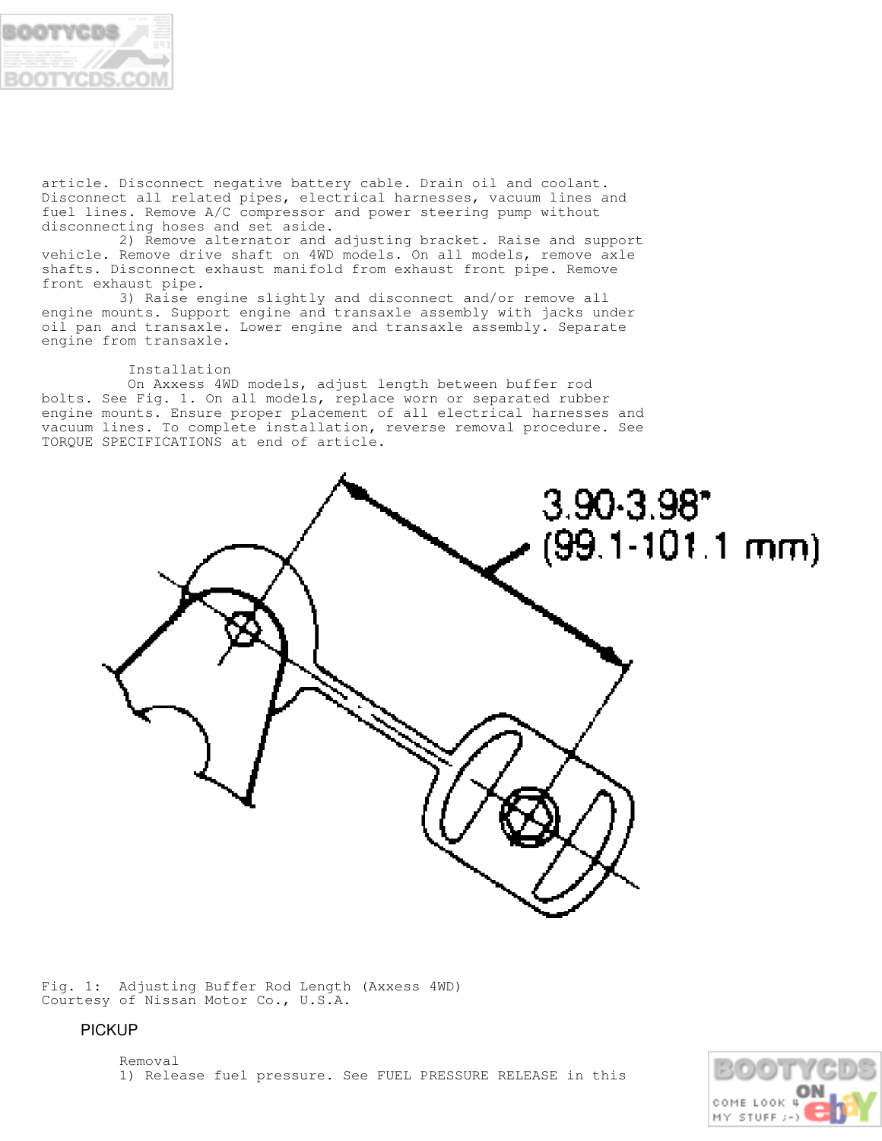

article. Disconnect negative battery cable. Drain oil and coolant. Disconnect all related pipes, electrical harnesses, vacuum lines and fuel lines. Remove A/C compressor and power steering pump without disconnecting hoses and set aside.

 2) Remove alternator and adjusting bracket. Raise and support vehicle. Remove drive shaft on 4WD models. On all models, remove axle shafts. Disconnect exhaust manifold from exhaust front pipe. Remove front exhaust pipe.

 3) Raise engine slightly and disconnect and/or remove all engine mounts. Support engine and transaxle assembly with jacks under oil pan and transaxle. Lower engine and transaxle assembly. Separate engine from transaxle.

#### Installation

 On Axxess 4WD models, adjust length between buffer rod bolts. See Fig. 1. On all models, replace worn or separated rubber engine mounts. Ensure proper placement of all electrical harnesses and vacuum lines. To complete installation, reverse removal procedure. See TORQUE SPECIFICATIONS at end of article.



Fig. 1: Adjusting Buffer Rod Length (Axxess 4WD) Courtesy of Nissan Motor Co., U.S.A.

## PICKUP

 Removal 1) Release fuel pressure. See FUEL PRESSURE RELEASE in this

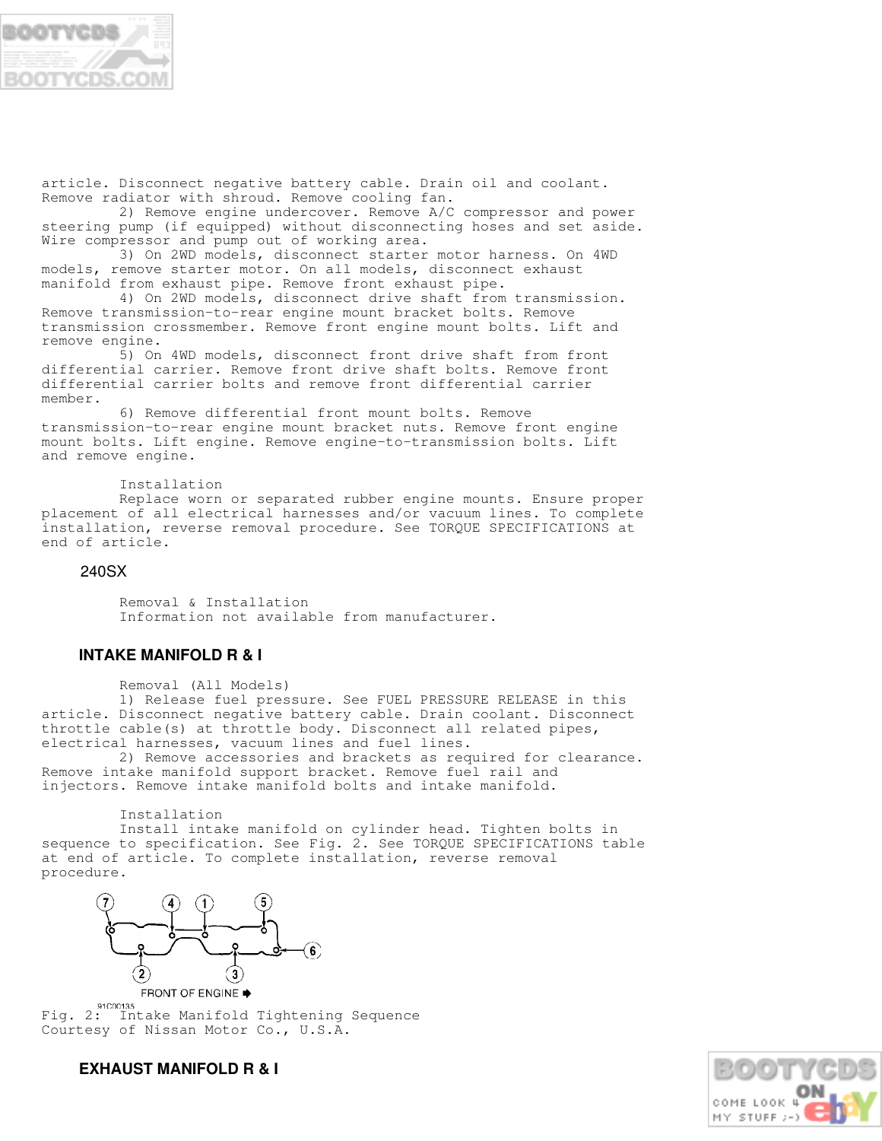

article. Disconnect negative battery cable. Drain oil and coolant. Remove radiator with shroud. Remove cooling fan.

 2) Remove engine undercover. Remove A/C compressor and power steering pump (if equipped) without disconnecting hoses and set aside. Wire compressor and pump out of working area.

 3) On 2WD models, disconnect starter motor harness. On 4WD models, remove starter motor. On all models, disconnect exhaust manifold from exhaust pipe. Remove front exhaust pipe.

 4) On 2WD models, disconnect drive shaft from transmission. Remove transmission-to-rear engine mount bracket bolts. Remove transmission crossmember. Remove front engine mount bolts. Lift and remove engine.

 5) On 4WD models, disconnect front drive shaft from front differential carrier. Remove front drive shaft bolts. Remove front differential carrier bolts and remove front differential carrier member.

 6) Remove differential front mount bolts. Remove transmission-to-rear engine mount bracket nuts. Remove front engine mount bolts. Lift engine. Remove engine-to-transmission bolts. Lift and remove engine.

Installation

 Replace worn or separated rubber engine mounts. Ensure proper placement of all electrical harnesses and/or vacuum lines. To complete installation, reverse removal procedure. See TORQUE SPECIFICATIONS at end of article.

## 240SX

 Removal & Installation Information not available from manufacturer.

## **INTAKE MANIFOLD R & I**

Removal (All Models)

 1) Release fuel pressure. See FUEL PRESSURE RELEASE in this article. Disconnect negative battery cable. Drain coolant. Disconnect throttle cable(s) at throttle body. Disconnect all related pipes, electrical harnesses, vacuum lines and fuel lines.

 2) Remove accessories and brackets as required for clearance. Remove intake manifold support bracket. Remove fuel rail and injectors. Remove intake manifold bolts and intake manifold.

Installation

 Install intake manifold on cylinder head. Tighten bolts in sequence to specification. See Fig. 2. See TORQUE SPECIFICATIONS table at end of article. To complete installation, reverse removal procedure.



**FRONT OF ENGINE ●** 

Fig. 2: Intake Manifold Tightening Sequence Courtesy of Nissan Motor Co., U.S.A.



## **EXHAUST MANIFOLD R & I**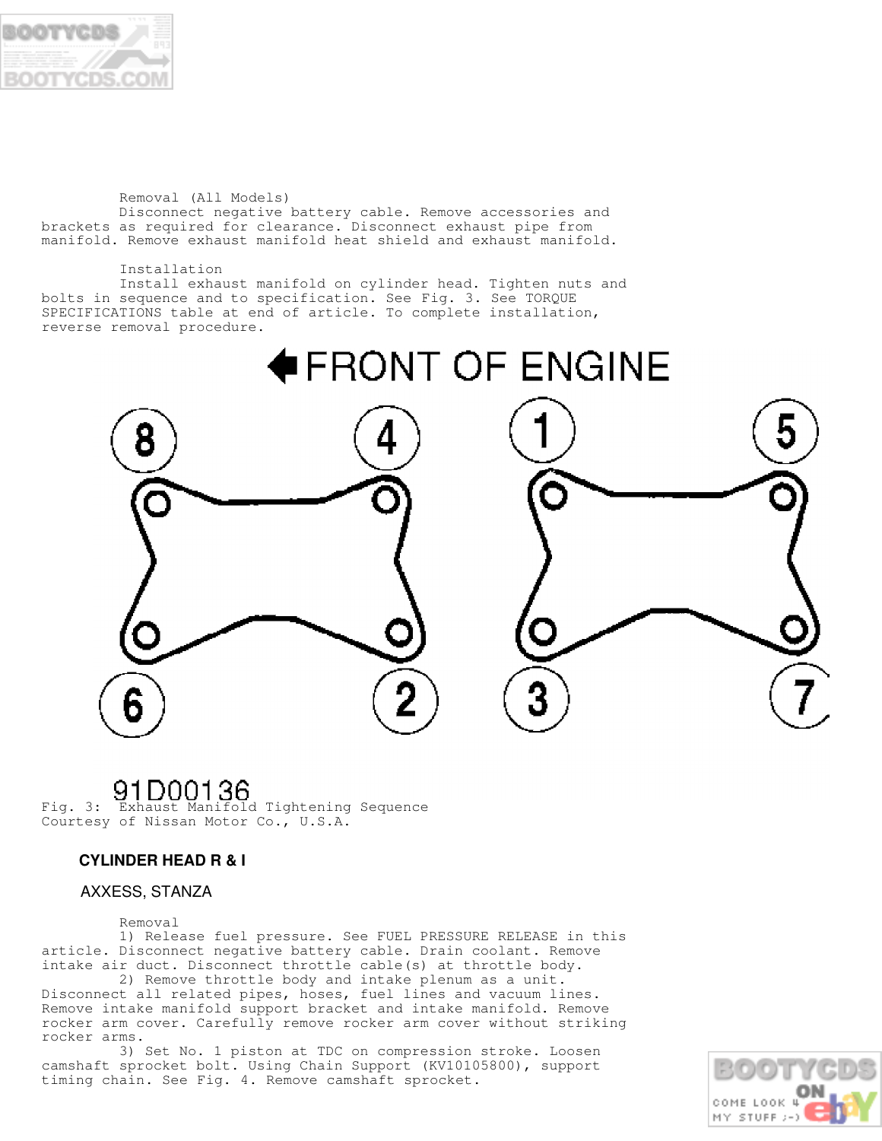

#### Removal (All Models) Disconnect negative battery cable. Remove accessories and brackets as required for clearance. Disconnect exhaust pipe from manifold. Remove exhaust manifold heat shield and exhaust manifold.

 Installation Install exhaust manifold on cylinder head. Tighten nuts and bolts in sequence and to specification. See Fig. 3. See TORQUE SPECIFICATIONS table at end of article. To complete installation, reverse removal procedure.



**91 DOO1 36**<br>Fig. 3: Exhaust Manifold Tightening Sequence Courtesy of Nissan Motor Co., U.S.A.

## **CYLINDER HEAD R & I**

## AXXESS, STANZA

### Removal

 1) Release fuel pressure. See FUEL PRESSURE RELEASE in this article. Disconnect negative battery cable. Drain coolant. Remove intake air duct. Disconnect throttle cable(s) at throttle body.

 2) Remove throttle body and intake plenum as a unit. Disconnect all related pipes, hoses, fuel lines and vacuum lines. Remove intake manifold support bracket and intake manifold. Remove rocker arm cover. Carefully remove rocker arm cover without striking rocker arms.

 3) Set No. 1 piston at TDC on compression stroke. Loosen camshaft sprocket bolt. Using Chain Support (KV10105800), support timing chain. See Fig. 4. Remove camshaft sprocket.

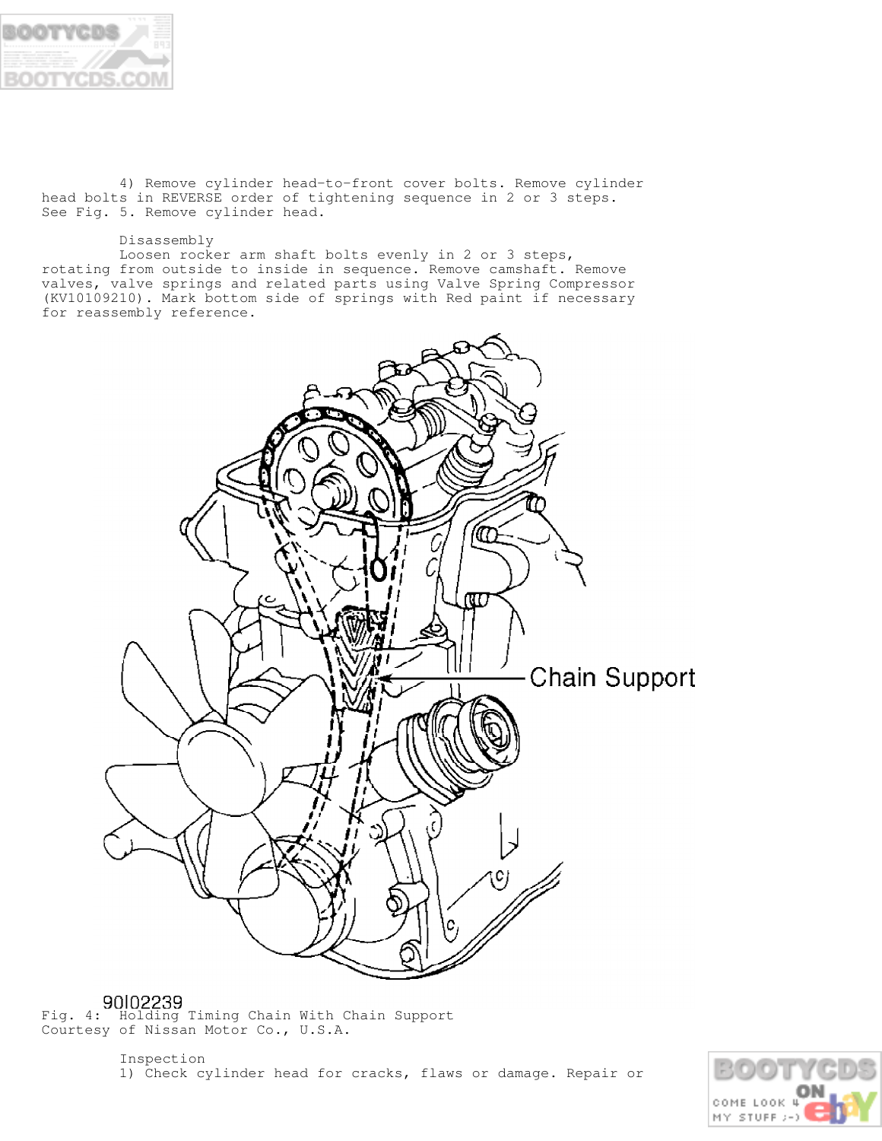

 4) Remove cylinder head-to-front cover bolts. Remove cylinder head bolts in REVERSE order of tightening sequence in 2 or 3 steps. See Fig. 5. Remove cylinder head.

#### Disassembly

 Loosen rocker arm shaft bolts evenly in 2 or 3 steps, rotating from outside to inside in sequence. Remove camshaft. Remove valves, valve springs and related parts using Valve Spring Compressor (KV10109210). Mark bottom side of springs with Red paint if necessary for reassembly reference.



Fig. 4: Holding Timing Chain With Chain Support Courtesy of Nissan Motor Co., U.S.A.

> Inspection 1) Check cylinder head for cracks, flaws or damage. Repair or

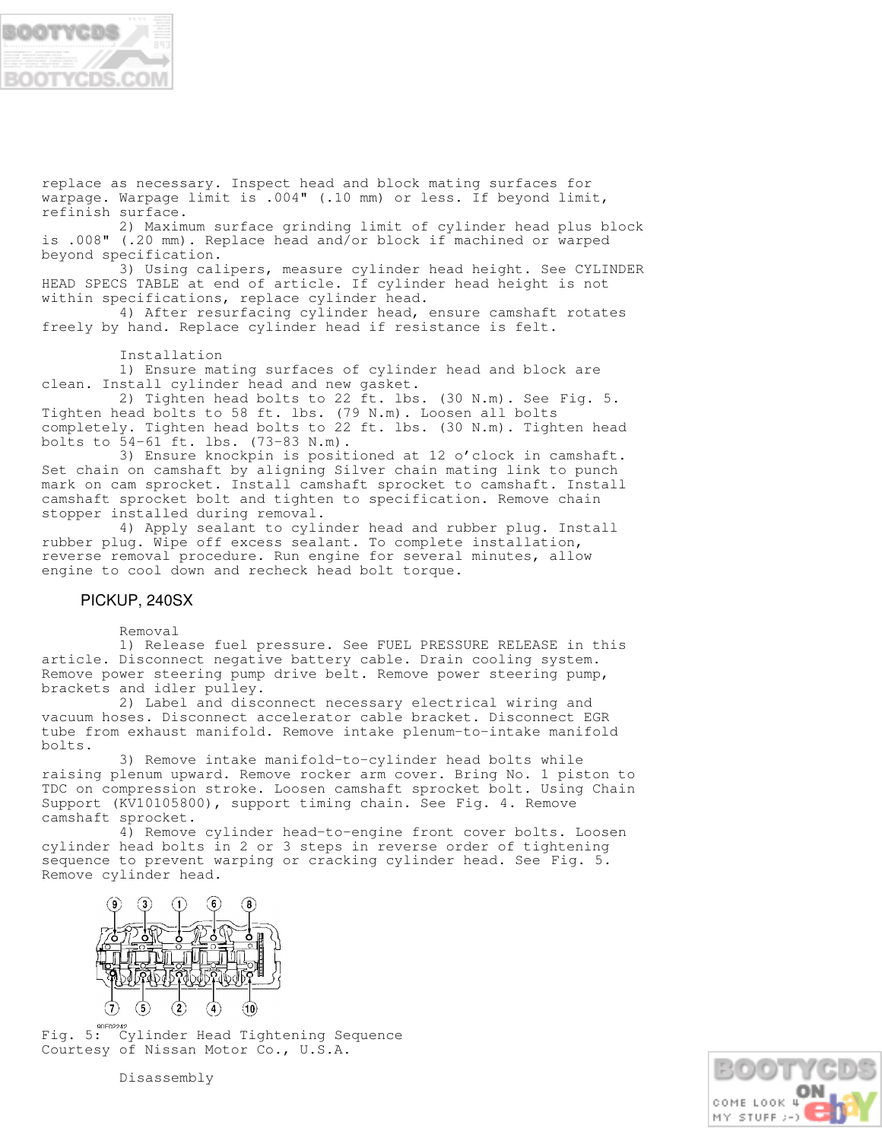

replace as necessary. Inspect head and block mating surfaces for warpage. Warpage limit is .004" (.10 mm) or less. If beyond limit, refinish surface.

 2) Maximum surface grinding limit of cylinder head plus block is .008" (.20 mm). Replace head and/or block if machined or warped beyond specification.

 3) Using calipers, measure cylinder head height. See CYLINDER HEAD SPECS TABLE at end of article. If cylinder head height is not within specifications, replace cylinder head.

 4) After resurfacing cylinder head, ensure camshaft rotates freely by hand. Replace cylinder head if resistance is felt.

Installation

 1) Ensure mating surfaces of cylinder head and block are clean. Install cylinder head and new gasket.

 2) Tighten head bolts to 22 ft. lbs. (30 N.m). See Fig. 5. Tighten head bolts to 58 ft. lbs. (79 N.m). Loosen all bolts completely. Tighten head bolts to 22 ft. lbs. (30 N.m). Tighten head bolts to 54-61 ft. lbs. (73-83 N.m).

 3) Ensure knockpin is positioned at 12 o'clock in camshaft. Set chain on camshaft by aligning Silver chain mating link to punch mark on cam sprocket. Install camshaft sprocket to camshaft. Install camshaft sprocket bolt and tighten to specification. Remove chain stopper installed during removal.

 4) Apply sealant to cylinder head and rubber plug. Install rubber plug. Wipe off excess sealant. To complete installation, reverse removal procedure. Run engine for several minutes, allow engine to cool down and recheck head bolt torque.

### PICKUP, 240SX

Removal

 1) Release fuel pressure. See FUEL PRESSURE RELEASE in this article. Disconnect negative battery cable. Drain cooling system. Remove power steering pump drive belt. Remove power steering pump, brackets and idler pulley.

 2) Label and disconnect necessary electrical wiring and vacuum hoses. Disconnect accelerator cable bracket. Disconnect EGR tube from exhaust manifold. Remove intake plenum-to-intake manifold bolts.

 3) Remove intake manifold-to-cylinder head bolts while raising plenum upward. Remove rocker arm cover. Bring No. 1 piston to TDC on compression stroke. Loosen camshaft sprocket bolt. Using Chain Support (KV10105800), support timing chain. See Fig. 4. Remove camshaft sprocket.

 4) Remove cylinder head-to-engine front cover bolts. Loosen cylinder head bolts in 2 or 3 steps in reverse order of tightening sequence to prevent warping or cracking cylinder head. See Fig. 5. Remove cylinder head.



Fig. 5: Cylinder Head Tightening Sequence Courtesy of Nissan Motor Co., U.S.A.

COME LOOK 4 MY STUFF :

Disassembly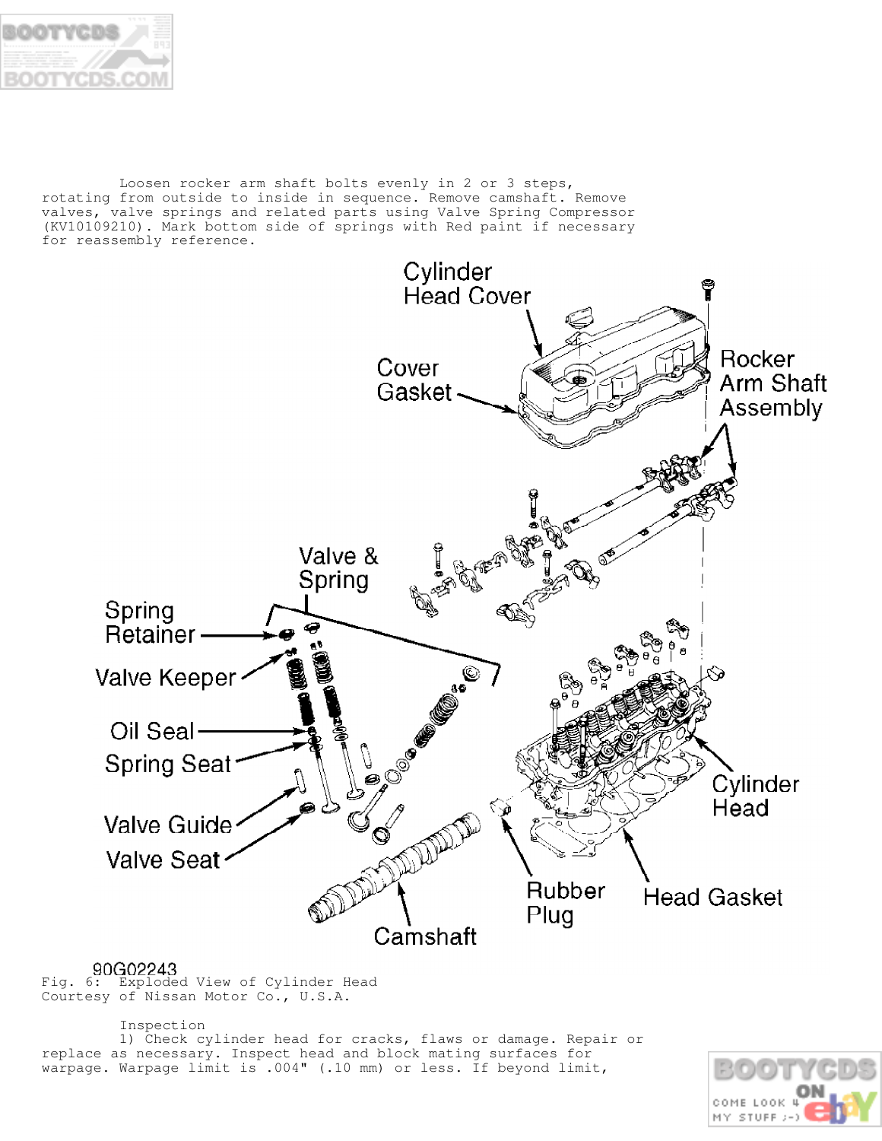

 Loosen rocker arm shaft bolts evenly in 2 or 3 steps, rotating from outside to inside in sequence. Remove camshaft. Remove valves, valve springs and related parts using Valve Spring Compressor (KV10109210). Mark bottom side of springs with Red paint if necessary for reassembly reference.



90G02243<br>Fig. 6: Exploded View of Cylinder Head Courtesy of Nissan Motor Co., U.S.A.

## Inspection

 1) Check cylinder head for cracks, flaws or damage. Repair or replace as necessary. Inspect head and block mating surfaces for warpage. Warpage limit is .004" (.10 mm) or less. If beyond limit,

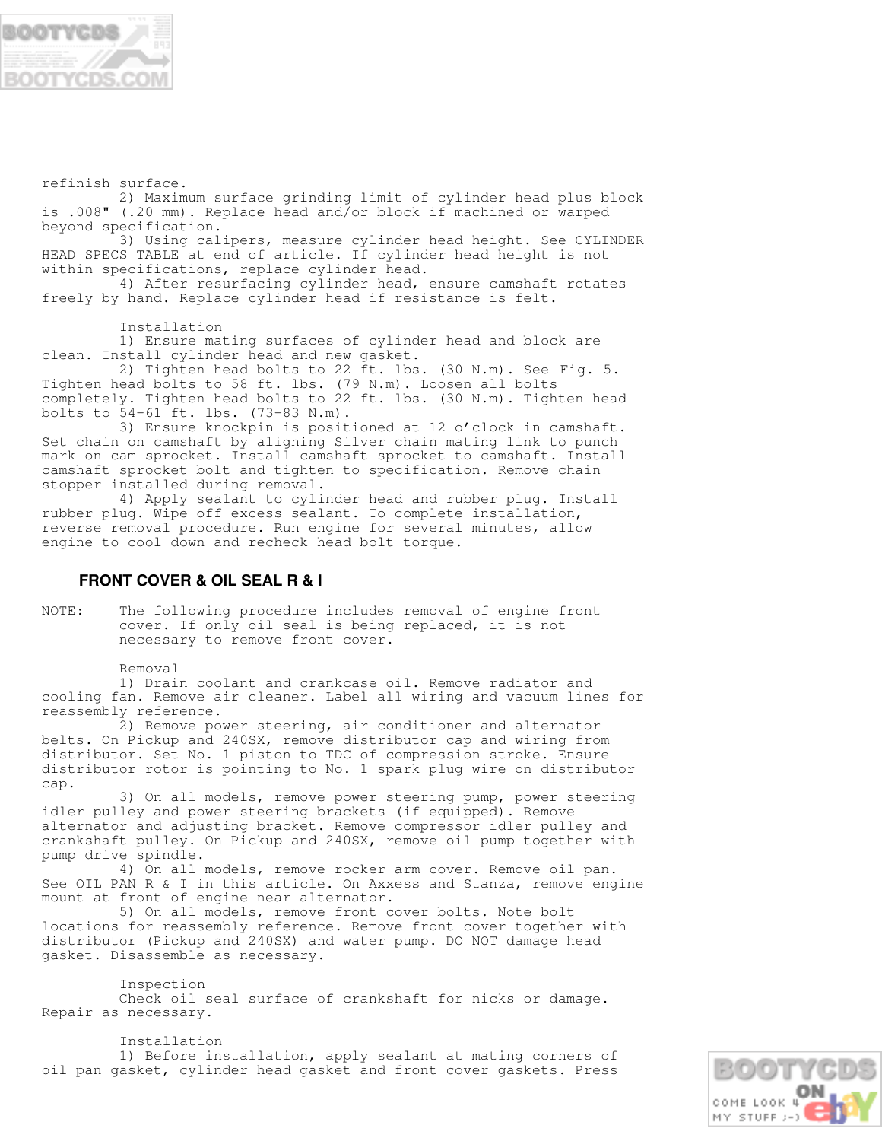

refinish surface.

 2) Maximum surface grinding limit of cylinder head plus block is .008" (.20 mm). Replace head and/or block if machined or warped beyond specification.

 3) Using calipers, measure cylinder head height. See CYLINDER HEAD SPECS TABLE at end of article. If cylinder head height is not within specifications, replace cylinder head.

 4) After resurfacing cylinder head, ensure camshaft rotates freely by hand. Replace cylinder head if resistance is felt.

Installation

 1) Ensure mating surfaces of cylinder head and block are clean. Install cylinder head and new gasket.

 2) Tighten head bolts to 22 ft. lbs. (30 N.m). See Fig. 5. Tighten head bolts to 58 ft. lbs. (79 N.m). Loosen all bolts completely. Tighten head bolts to 22 ft. lbs. (30 N.m). Tighten head bolts to 54-61 ft. lbs. (73-83 N.m).

 3) Ensure knockpin is positioned at 12 o'clock in camshaft. Set chain on camshaft by aligning Silver chain mating link to punch mark on cam sprocket. Install camshaft sprocket to camshaft. Install camshaft sprocket bolt and tighten to specification. Remove chain stopper installed during removal.

 4) Apply sealant to cylinder head and rubber plug. Install rubber plug. Wipe off excess sealant. To complete installation, reverse removal procedure. Run engine for several minutes, allow engine to cool down and recheck head bolt torque.

## **FRONT COVER & OIL SEAL R & I**

NOTE: The following procedure includes removal of engine front cover. If only oil seal is being replaced, it is not necessary to remove front cover.

Removal

 1) Drain coolant and crankcase oil. Remove radiator and cooling fan. Remove air cleaner. Label all wiring and vacuum lines for reassembly reference.

 2) Remove power steering, air conditioner and alternator belts. On Pickup and 240SX, remove distributor cap and wiring from distributor. Set No. 1 piston to TDC of compression stroke. Ensure distributor rotor is pointing to No. 1 spark plug wire on distributor cap.

 3) On all models, remove power steering pump, power steering idler pulley and power steering brackets (if equipped). Remove alternator and adjusting bracket. Remove compressor idler pulley and crankshaft pulley. On Pickup and 240SX, remove oil pump together with pump drive spindle.

 4) On all models, remove rocker arm cover. Remove oil pan. See OIL PAN R & I in this article. On Axxess and Stanza, remove engine mount at front of engine near alternator.

 5) On all models, remove front cover bolts. Note bolt locations for reassembly reference. Remove front cover together with distributor (Pickup and 240SX) and water pump. DO NOT damage head gasket. Disassemble as necessary.

 Inspection Check oil seal surface of crankshaft for nicks or damage. Repair as necessary.

 Installation 1) Before installation, apply sealant at mating corners of oil pan gasket, cylinder head gasket and front cover gaskets. Press

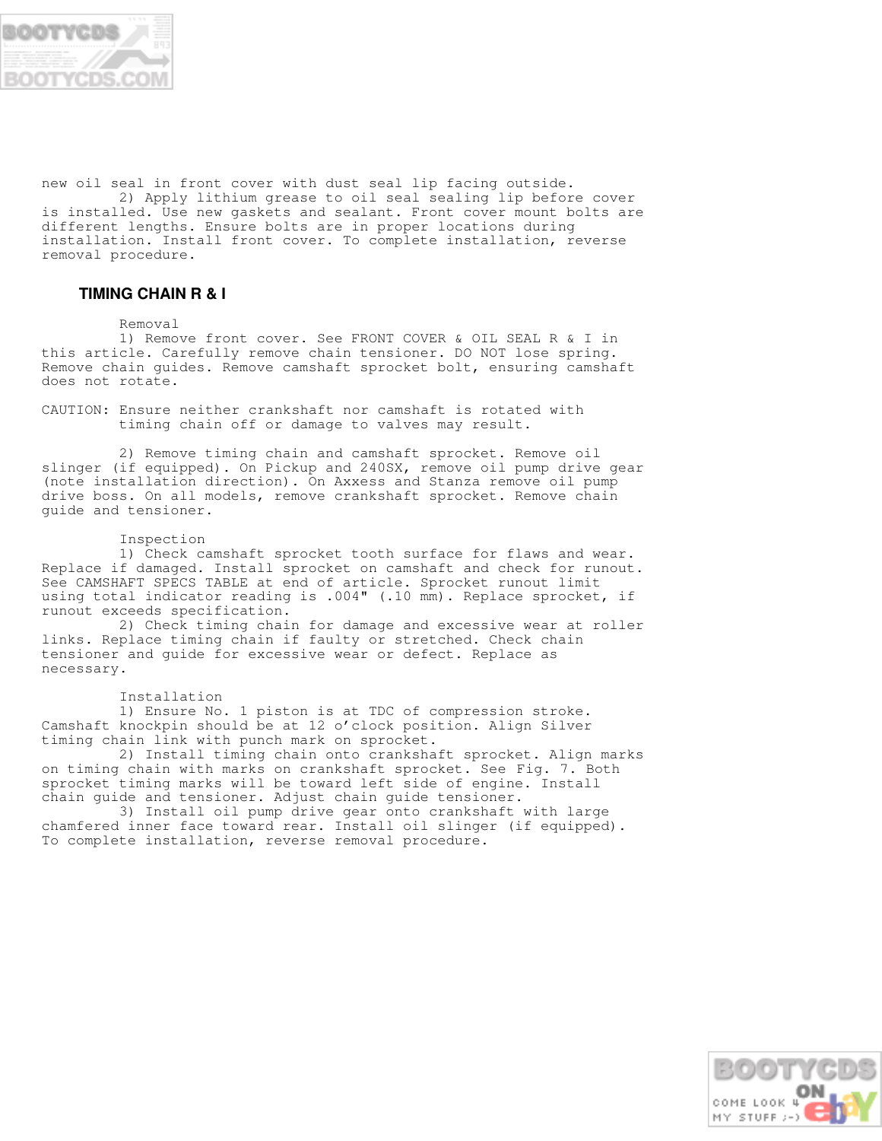

new oil seal in front cover with dust seal lip facing outside.

 2) Apply lithium grease to oil seal sealing lip before cover is installed. Use new gaskets and sealant. Front cover mount bolts are different lengths. Ensure bolts are in proper locations during installation. Install front cover. To complete installation, reverse removal procedure.

## **TIMING CHAIN R & I**

#### Removal

 1) Remove front cover. See FRONT COVER & OIL SEAL R & I in this article. Carefully remove chain tensioner. DO NOT lose spring. Remove chain guides. Remove camshaft sprocket bolt, ensuring camshaft does not rotate.

CAUTION: Ensure neither crankshaft nor camshaft is rotated with timing chain off or damage to valves may result.

 2) Remove timing chain and camshaft sprocket. Remove oil slinger (if equipped). On Pickup and 240SX, remove oil pump drive gear (note installation direction). On Axxess and Stanza remove oil pump drive boss. On all models, remove crankshaft sprocket. Remove chain guide and tensioner.

#### Inspection

 1) Check camshaft sprocket tooth surface for flaws and wear. Replace if damaged. Install sprocket on camshaft and check for runout. See CAMSHAFT SPECS TABLE at end of article. Sprocket runout limit using total indicator reading is .004" (.10 mm). Replace sprocket, if runout exceeds specification.

 2) Check timing chain for damage and excessive wear at roller links. Replace timing chain if faulty or stretched. Check chain tensioner and guide for excessive wear or defect. Replace as necessary.

#### Installation

 1) Ensure No. 1 piston is at TDC of compression stroke. Camshaft knockpin should be at 12 o'clock position. Align Silver timing chain link with punch mark on sprocket.

 2) Install timing chain onto crankshaft sprocket. Align marks on timing chain with marks on crankshaft sprocket. See Fig. 7. Both sprocket timing marks will be toward left side of engine. Install chain guide and tensioner. Adjust chain guide tensioner.

 3) Install oil pump drive gear onto crankshaft with large chamfered inner face toward rear. Install oil slinger (if equipped). To complete installation, reverse removal procedure.

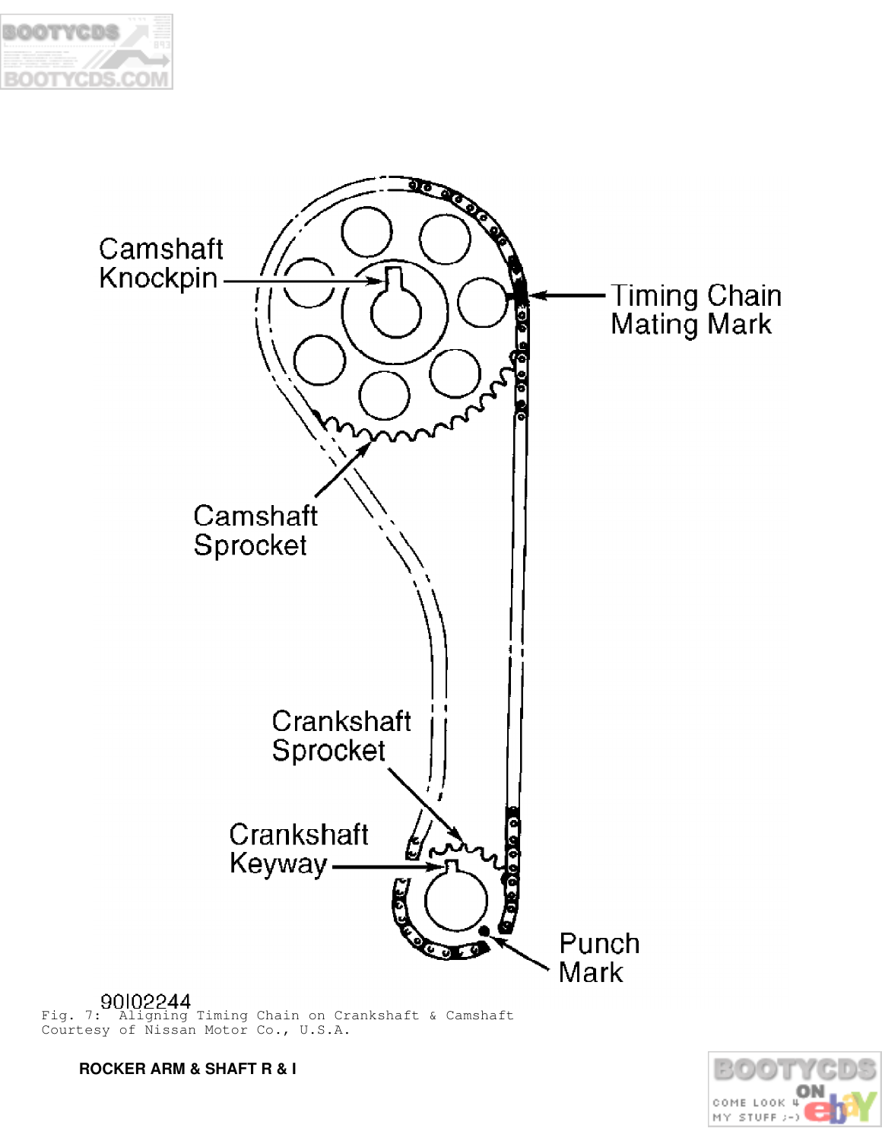



Fig. 7: Aligning Timing Chain on Crankshaft & Camshaft Courtesy of Nissan Motor Co., U.S.A.

 **ROCKER ARM & SHAFT R & I**

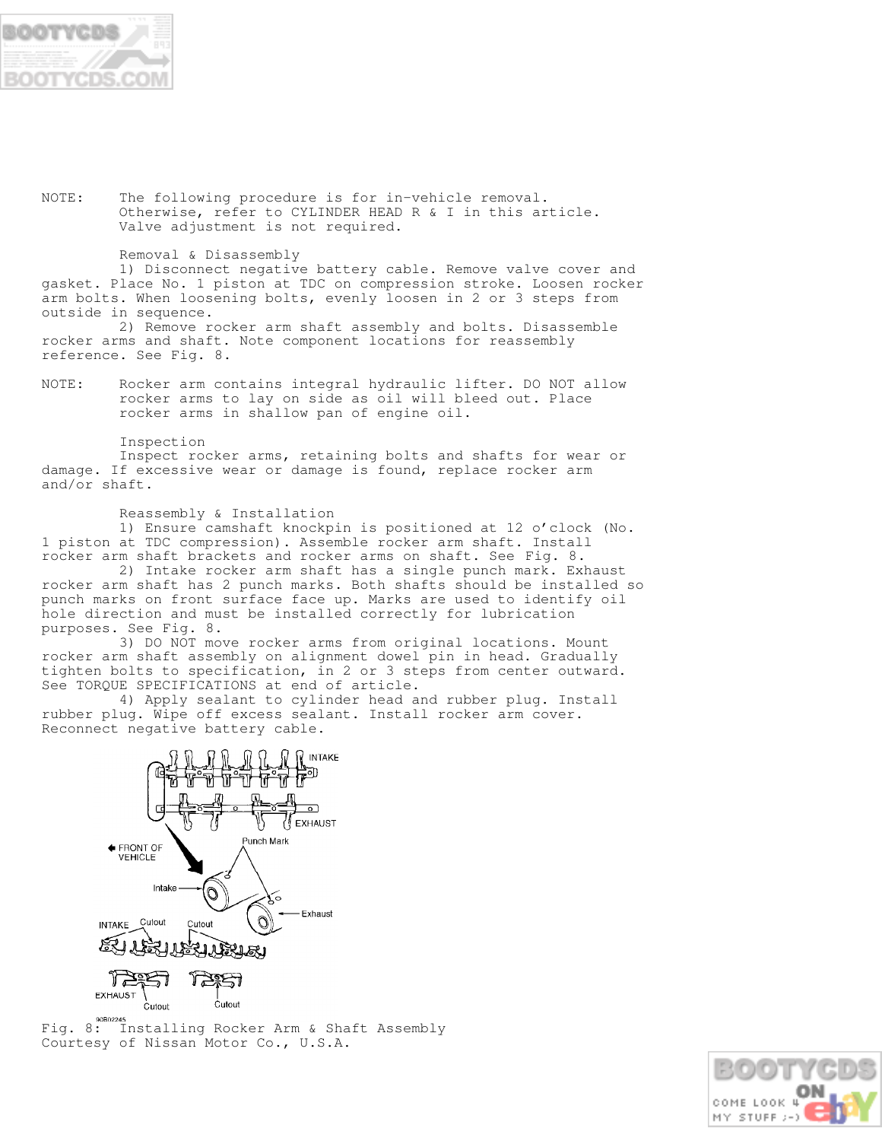

NOTE: The following procedure is for in-vehicle removal. Otherwise, refer to CYLINDER HEAD R & I in this article. Valve adjustment is not required.

#### Removal & Disassembly

 1) Disconnect negative battery cable. Remove valve cover and gasket. Place No. 1 piston at TDC on compression stroke. Loosen rocker arm bolts. When loosening bolts, evenly loosen in 2 or 3 steps from outside in sequence.

 2) Remove rocker arm shaft assembly and bolts. Disassemble rocker arms and shaft. Note component locations for reassembly reference. See Fig. 8.

NOTE: Rocker arm contains integral hydraulic lifter. DO NOT allow rocker arms to lay on side as oil will bleed out. Place rocker arms in shallow pan of engine oil.

Inspection

 Inspect rocker arms, retaining bolts and shafts for wear or damage. If excessive wear or damage is found, replace rocker arm and/or shaft.

Reassembly & Installation

 1) Ensure camshaft knockpin is positioned at 12 o'clock (No. 1 piston at TDC compression). Assemble rocker arm shaft. Install rocker arm shaft brackets and rocker arms on shaft. See Fig. 8.

 2) Intake rocker arm shaft has a single punch mark. Exhaust rocker arm shaft has 2 punch marks. Both shafts should be installed so punch marks on front surface face up. Marks are used to identify oil hole direction and must be installed correctly for lubrication purposes. See Fig. 8.

 3) DO NOT move rocker arms from original locations. Mount rocker arm shaft assembly on alignment dowel pin in head. Gradually tighten bolts to specification, in 2 or 3 steps from center outward. See TORQUE SPECIFICATIONS at end of article.

 4) Apply sealant to cylinder head and rubber plug. Install rubber plug. Wipe off excess sealant. Install rocker arm cover. Reconnect negative battery cable.



Eig. 8: Installing Rocker Arm & Shaft Assembly Courtesy of Nissan Motor Co., U.S.A.

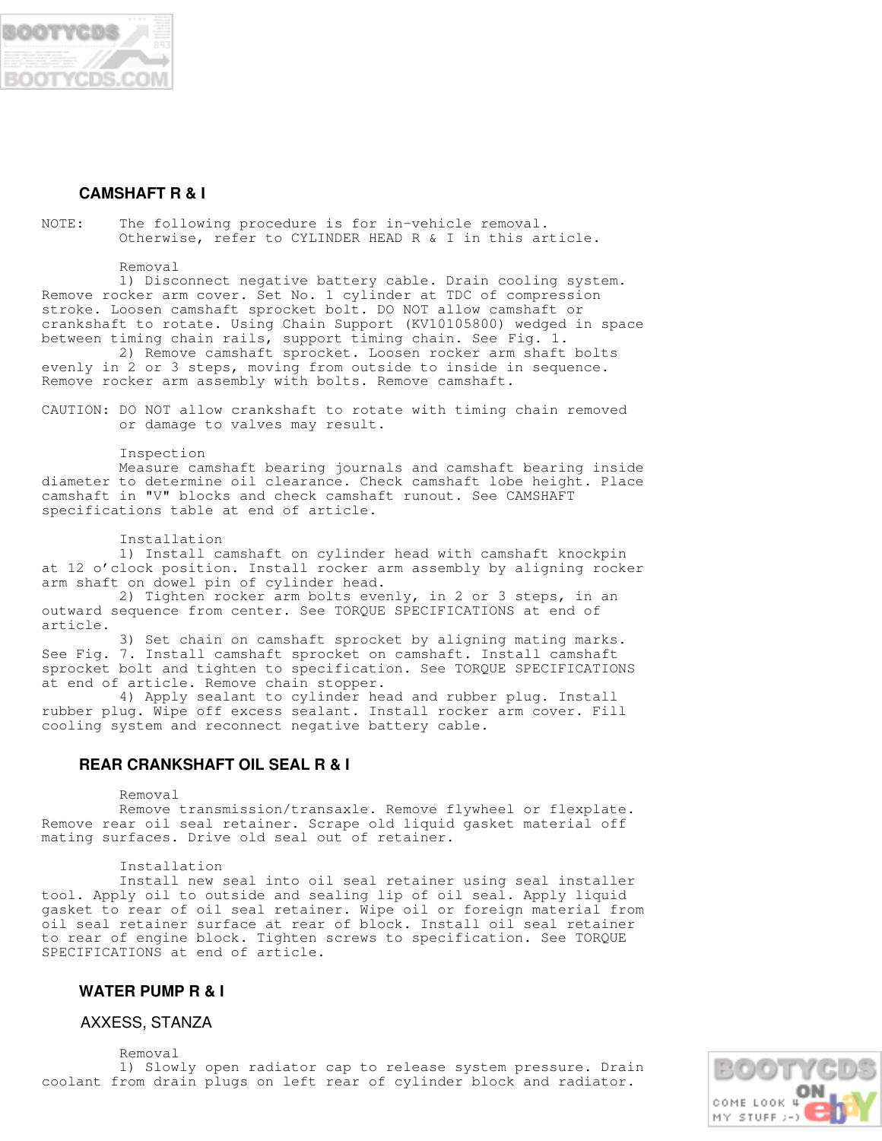

## **CAMSHAFT R & I**

NOTE: The following procedure is for in-vehicle removal. Otherwise, refer to CYLINDER HEAD R & I in this article.

Removal

 1) Disconnect negative battery cable. Drain cooling system. Remove rocker arm cover. Set No. 1 cylinder at TDC of compression stroke. Loosen camshaft sprocket bolt. DO NOT allow camshaft or crankshaft to rotate. Using Chain Support (KV10105800) wedged in space between timing chain rails, support timing chain. See Fig. 1.

 2) Remove camshaft sprocket. Loosen rocker arm shaft bolts evenly in 2 or 3 steps, moving from outside to inside in sequence. Remove rocker arm assembly with bolts. Remove camshaft.

CAUTION: DO NOT allow crankshaft to rotate with timing chain removed or damage to valves may result.

Inspection

 Measure camshaft bearing journals and camshaft bearing inside diameter to determine oil clearance. Check camshaft lobe height. Place camshaft in "V" blocks and check camshaft runout. See CAMSHAFT specifications table at end of article.

#### Installation

 1) Install camshaft on cylinder head with camshaft knockpin at 12 o'clock position. Install rocker arm assembly by aligning rocker arm shaft on dowel pin of cylinder head.

 2) Tighten rocker arm bolts evenly, in 2 or 3 steps, in an outward sequence from center. See TORQUE SPECIFICATIONS at end of article.

 3) Set chain on camshaft sprocket by aligning mating marks. See Fig. 7. Install camshaft sprocket on camshaft. Install camshaft sprocket bolt and tighten to specification. See TORQUE SPECIFICATIONS at end of article. Remove chain stopper.

 4) Apply sealant to cylinder head and rubber plug. Install rubber plug. Wipe off excess sealant. Install rocker arm cover. Fill cooling system and reconnect negative battery cable.

## **REAR CRANKSHAFT OIL SEAL R & I**

Removal

 Remove transmission/transaxle. Remove flywheel or flexplate. Remove rear oil seal retainer. Scrape old liquid gasket material off mating surfaces. Drive old seal out of retainer.

Installation

 Install new seal into oil seal retainer using seal installer tool. Apply oil to outside and sealing lip of oil seal. Apply liquid gasket to rear of oil seal retainer. Wipe oil or foreign material from oil seal retainer surface at rear of block. Install oil seal retainer to rear of engine block. Tighten screws to specification. See TORQUE SPECIFICATIONS at end of article.

## **WATER PUMP R & I**

AXXESS, STANZA

 Removal 1) Slowly open radiator cap to release system pressure. Drain coolant from drain plugs on left rear of cylinder block and radiator.

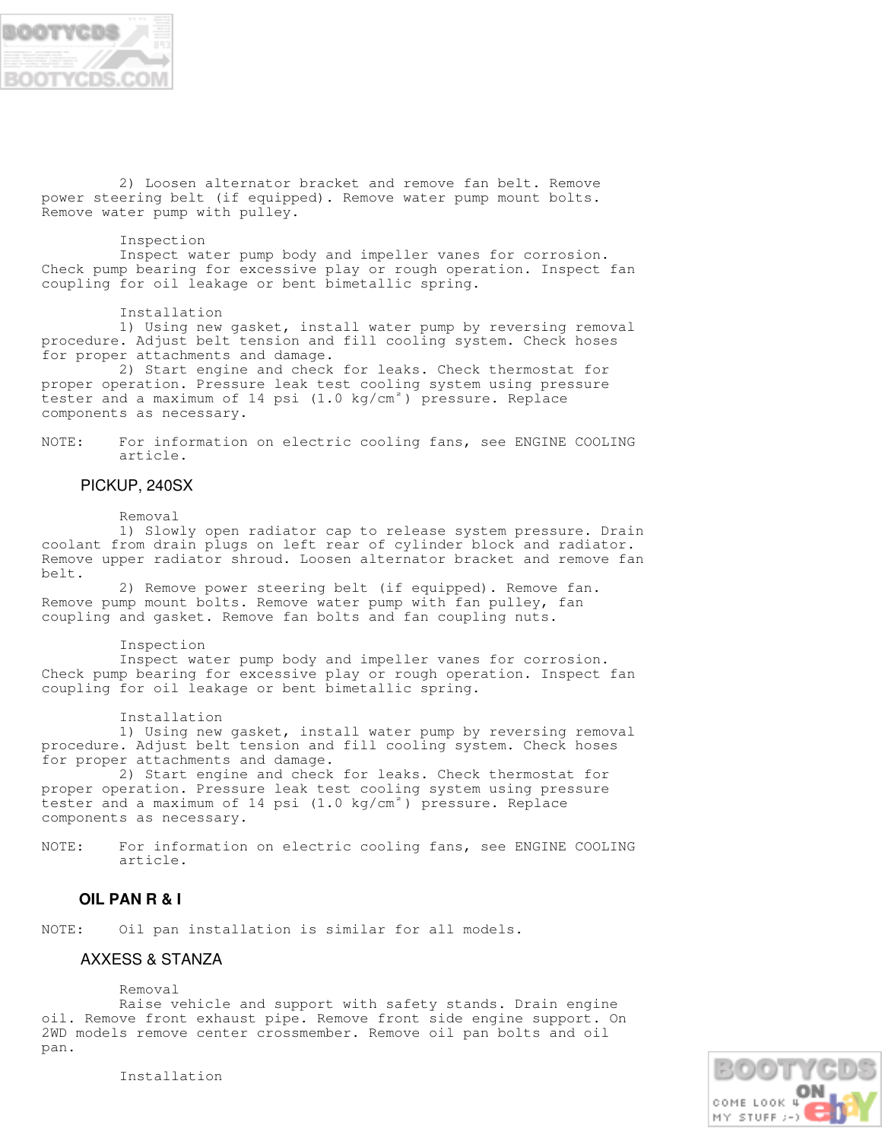

 2) Loosen alternator bracket and remove fan belt. Remove power steering belt (if equipped). Remove water pump mount bolts. Remove water pump with pulley.

#### Inspection

 Inspect water pump body and impeller vanes for corrosion. Check pump bearing for excessive play or rough operation. Inspect fan coupling for oil leakage or bent bimetallic spring.

Installation

 1) Using new gasket, install water pump by reversing removal procedure. Adjust belt tension and fill cooling system. Check hoses for proper attachments and damage.

 2) Start engine and check for leaks. Check thermostat for proper operation. Pressure leak test cooling system using pressure tester and a maximum of 14 psi (1.0 kg/cm $^{\circ}$ ) pressure. Replace components as necessary.

NOTE: For information on electric cooling fans, see ENGINE COOLING article.

## PICKUP, 240SX

Removal

 1) Slowly open radiator cap to release system pressure. Drain coolant from drain plugs on left rear of cylinder block and radiator. Remove upper radiator shroud. Loosen alternator bracket and remove fan belt.

 2) Remove power steering belt (if equipped). Remove fan. Remove pump mount bolts. Remove water pump with fan pulley, fan coupling and gasket. Remove fan bolts and fan coupling nuts.

#### Inspection

 Inspect water pump body and impeller vanes for corrosion. Check pump bearing for excessive play or rough operation. Inspect fan coupling for oil leakage or bent bimetallic spring.

#### Installation

 1) Using new gasket, install water pump by reversing removal procedure. Adjust belt tension and fill cooling system. Check hoses for proper attachments and damage.

 2) Start engine and check for leaks. Check thermostat for proper operation. Pressure leak test cooling system using pressure tester and a maximum of 14 psi (1.0 kg/cm<sup>2</sup>) pressure. Replace components as necessary.

NOTE: For information on electric cooling fans, see ENGINE COOLING article.

## **OIL PAN R & I**

NOTE: Oil pan installation is similar for all models.

## AXXESS & STANZA

Removal

 Raise vehicle and support with safety stands. Drain engine oil. Remove front exhaust pipe. Remove front side engine support. On 2WD models remove center crossmember. Remove oil pan bolts and oil pan.

> COME LOOK 4 MY STUFF >-

Installation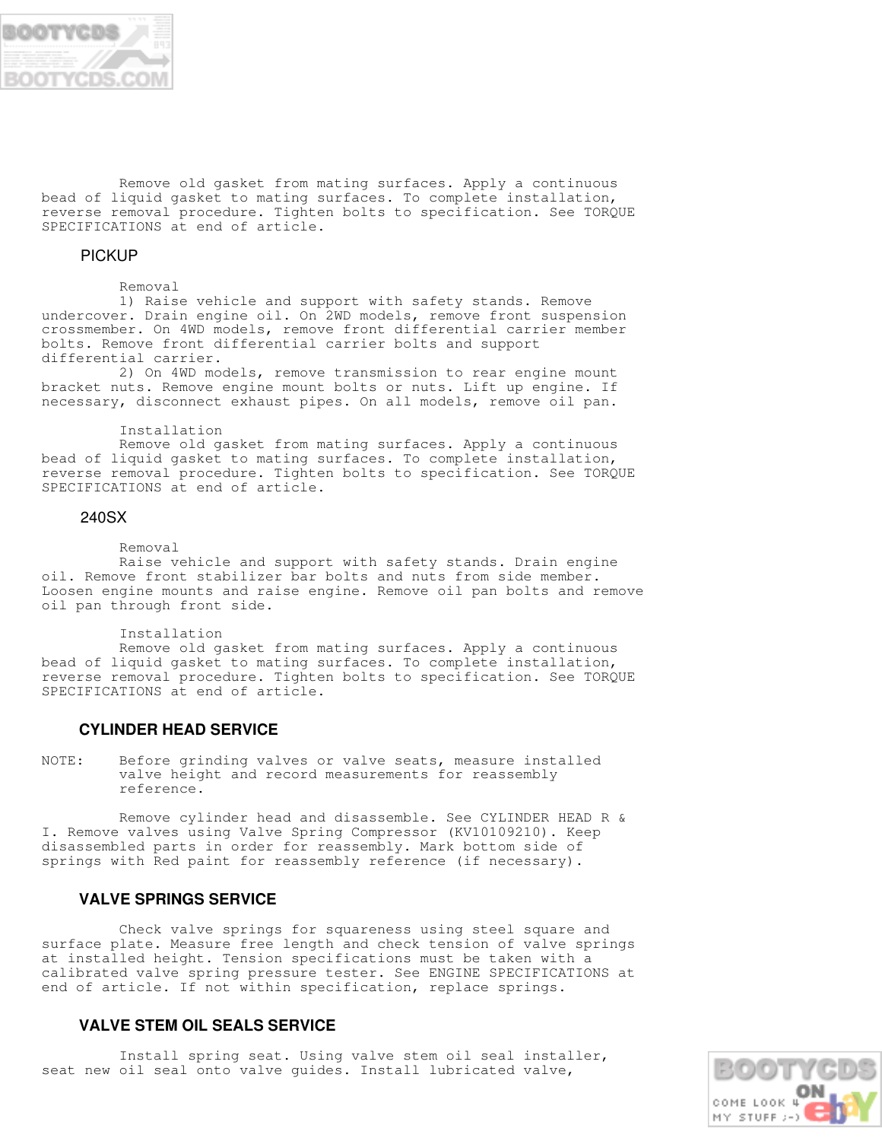

 Remove old gasket from mating surfaces. Apply a continuous bead of liquid gasket to mating surfaces. To complete installation, reverse removal procedure. Tighten bolts to specification. See TORQUE SPECIFICATIONS at end of article.

## PICKUP

#### Removal

 1) Raise vehicle and support with safety stands. Remove undercover. Drain engine oil. On 2WD models, remove front suspension crossmember. On 4WD models, remove front differential carrier member bolts. Remove front differential carrier bolts and support differential carrier.

 2) On 4WD models, remove transmission to rear engine mount bracket nuts. Remove engine mount bolts or nuts. Lift up engine. If necessary, disconnect exhaust pipes. On all models, remove oil pan.

#### Installation

 Remove old gasket from mating surfaces. Apply a continuous bead of liquid gasket to mating surfaces. To complete installation, reverse removal procedure. Tighten bolts to specification. See TORQUE SPECIFICATIONS at end of article.

#### 240SX

#### Removal

 Raise vehicle and support with safety stands. Drain engine oil. Remove front stabilizer bar bolts and nuts from side member. Loosen engine mounts and raise engine. Remove oil pan bolts and remove oil pan through front side.

#### Installation

 Remove old gasket from mating surfaces. Apply a continuous bead of liquid gasket to mating surfaces. To complete installation, reverse removal procedure. Tighten bolts to specification. See TORQUE SPECIFICATIONS at end of article.

#### **CYLINDER HEAD SERVICE**

NOTE: Before grinding valves or valve seats, measure installed valve height and record measurements for reassembly reference.

 Remove cylinder head and disassemble. See CYLINDER HEAD R & I. Remove valves using Valve Spring Compressor (KV10109210). Keep disassembled parts in order for reassembly. Mark bottom side of springs with Red paint for reassembly reference (if necessary).

## **VALVE SPRINGS SERVICE**

 Check valve springs for squareness using steel square and surface plate. Measure free length and check tension of valve springs at installed height. Tension specifications must be taken with a calibrated valve spring pressure tester. See ENGINE SPECIFICATIONS at end of article. If not within specification, replace springs.

### **VALVE STEM OIL SEALS SERVICE**

 Install spring seat. Using valve stem oil seal installer, seat new oil seal onto valve guides. Install lubricated valve,

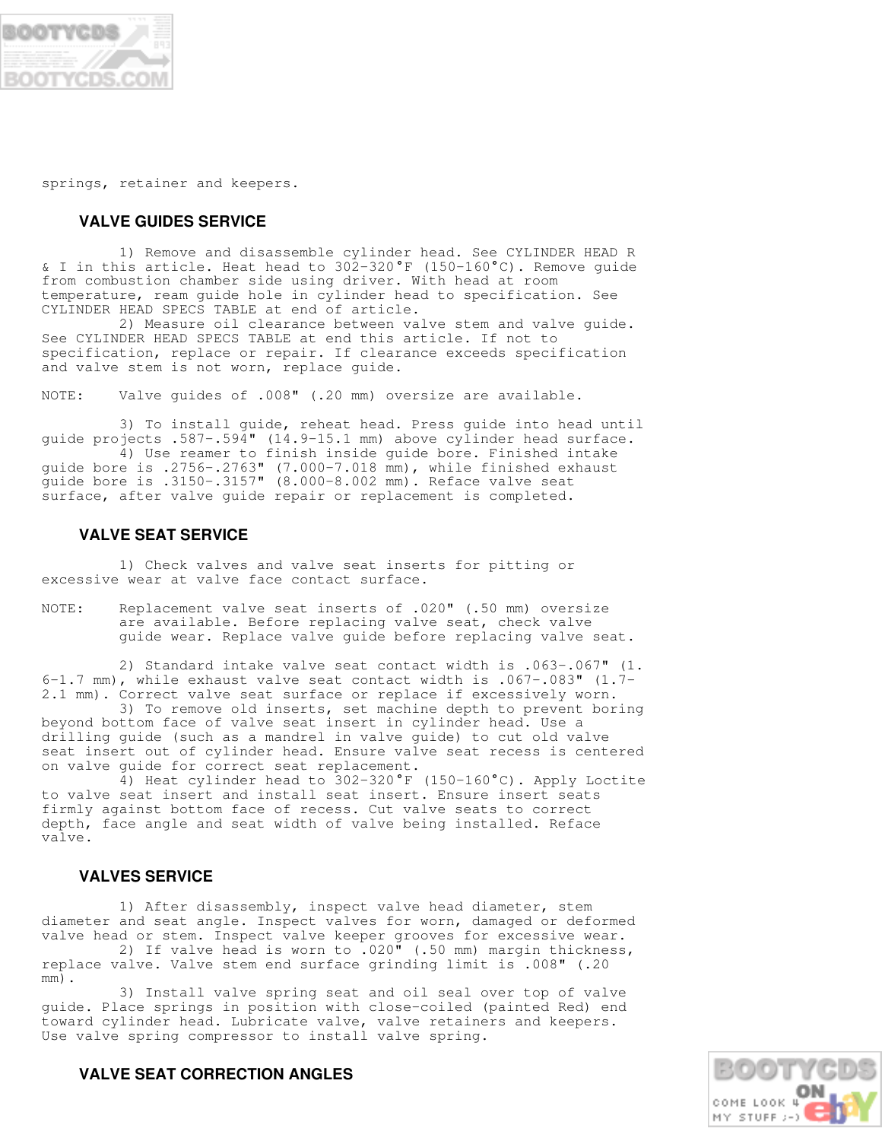

springs, retainer and keepers.

## **VALVE GUIDES SERVICE**

 1) Remove and disassemble cylinder head. See CYLINDER HEAD R & I in this article. Heat head to 302-320°F (150-160°C). Remove guide from combustion chamber side using driver. With head at room temperature, ream guide hole in cylinder head to specification. See CYLINDER HEAD SPECS TABLE at end of article.

 2) Measure oil clearance between valve stem and valve guide. See CYLINDER HEAD SPECS TABLE at end this article. If not to specification, replace or repair. If clearance exceeds specification and valve stem is not worn, replace guide.

NOTE: Valve guides of .008" (.20 mm) oversize are available.

 3) To install guide, reheat head. Press guide into head until guide projects .587-.594" (14.9-15.1 mm) above cylinder head surface. 4) Use reamer to finish inside guide bore. Finished intake guide bore is .2756-.2763" (7.000-7.018 mm), while finished exhaust guide bore is .3150-.3157" (8.000-8.002 mm). Reface valve seat surface, after valve guide repair or replacement is completed.

## **VALVE SEAT SERVICE**

 1) Check valves and valve seat inserts for pitting or excessive wear at valve face contact surface.

NOTE: Replacement valve seat inserts of .020" (.50 mm) oversize are available. Before replacing valve seat, check valve guide wear. Replace valve guide before replacing valve seat.

 2) Standard intake valve seat contact width is .063-.067" (1. 6-1.7 mm), while exhaust valve seat contact width is .067-.083" (1.7- 2.1 mm). Correct valve seat surface or replace if excessively worn.

 3) To remove old inserts, set machine depth to prevent boring beyond bottom face of valve seat insert in cylinder head. Use a drilling guide (such as a mandrel in valve guide) to cut old valve seat insert out of cylinder head. Ensure valve seat recess is centered on valve guide for correct seat replacement.

 4) Heat cylinder head to 302-320 F (150-160 C). Apply Loctite to valve seat insert and install seat insert. Ensure insert seats firmly against bottom face of recess. Cut valve seats to correct depth, face angle and seat width of valve being installed. Reface valve.

## **VALVES SERVICE**

 1) After disassembly, inspect valve head diameter, stem diameter and seat angle. Inspect valves for worn, damaged or deformed valve head or stem. Inspect valve keeper grooves for excessive wear. 2) If valve head is worn to .020" (.50 mm) margin thickness,

replace valve. Valve stem end surface grinding limit is .008" (.20 mm).

 3) Install valve spring seat and oil seal over top of valve guide. Place springs in position with close-coiled (painted Red) end toward cylinder head. Lubricate valve, valve retainers and keepers. Use valve spring compressor to install valve spring.



## **VALVE SEAT CORRECTION ANGLES**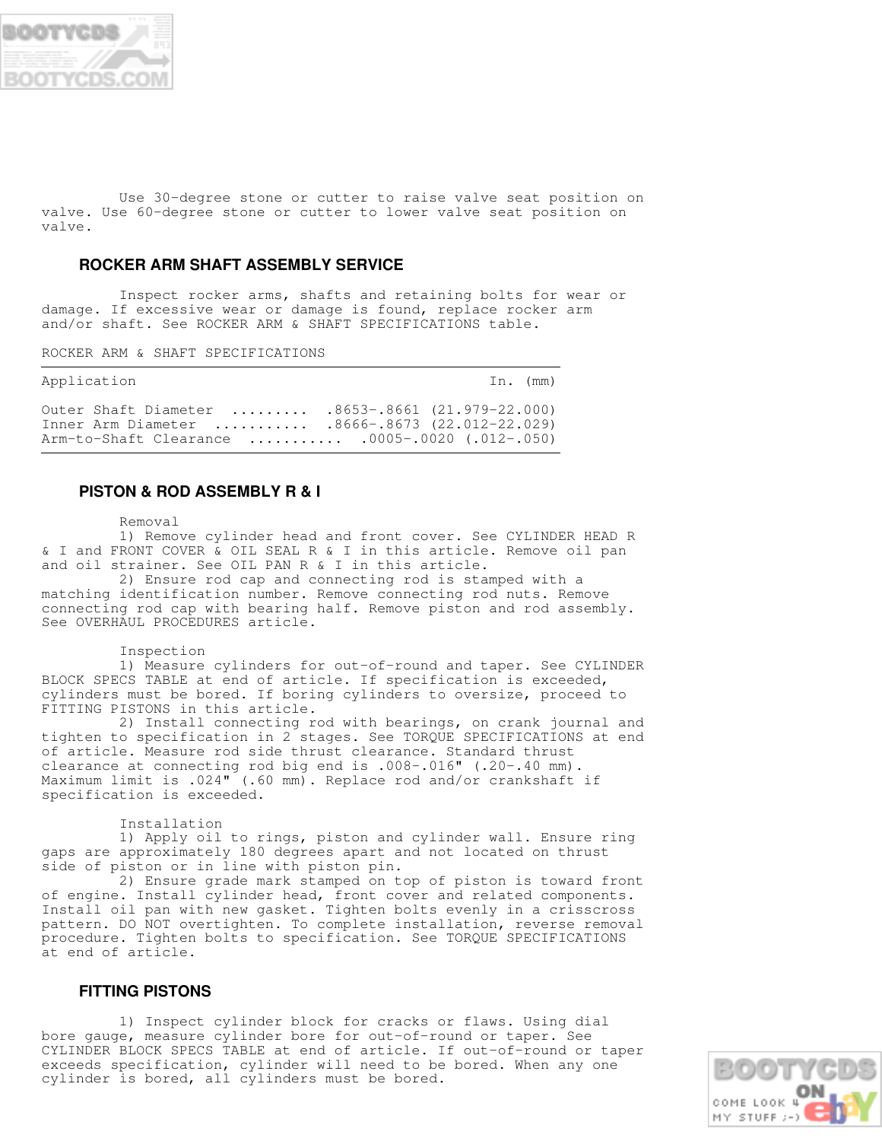

 Use 30-degree stone or cutter to raise valve seat position on valve. Use 60-degree stone or cutter to lower valve seat position on valve.

## **ROCKER ARM SHAFT ASSEMBLY SERVICE**

 Inspect rocker arms, shafts and retaining bolts for wear or damage. If excessive wear or damage is found, replace rocker arm and/or shaft. See ROCKER ARM & SHAFT SPECIFICATIONS table.

ROCKER ARM & SHAFT SPECIFICATIONS

| Application                                                                                                                                             | In. (mm) |
|---------------------------------------------------------------------------------------------------------------------------------------------------------|----------|
| Outer Shaft Diameter  .8653-.8661 (21.979-22.000)<br>Inner Arm Diameter  .8666-.8673 (22.012-22.029)<br>Arm-to-Shaft Clearance  .0005-.0020 (.012-.050) |          |

## **PISTON & ROD ASSEMBLY R & I**

Removal

 1) Remove cylinder head and front cover. See CYLINDER HEAD R & I and FRONT COVER & OIL SEAL R & I in this article. Remove oil pan and oil strainer. See OIL PAN R & I in this article.

 2) Ensure rod cap and connecting rod is stamped with a matching identification number. Remove connecting rod nuts. Remove connecting rod cap with bearing half. Remove piston and rod assembly. See OVERHAUL PROCEDURES article.

#### Inspection

 1) Measure cylinders for out-of-round and taper. See CYLINDER BLOCK SPECS TABLE at end of article. If specification is exceeded, cylinders must be bored. If boring cylinders to oversize, proceed to FITTING PISTONS in this article.

 2) Install connecting rod with bearings, on crank journal and tighten to specification in 2 stages. See TORQUE SPECIFICATIONS at end of article. Measure rod side thrust clearance. Standard thrust clearance at connecting rod big end is .008-.016" (.20-.40 mm). Maximum limit is .024" (.60 mm). Replace rod and/or crankshaft if specification is exceeded.

Installation

 1) Apply oil to rings, piston and cylinder wall. Ensure ring gaps are approximately 180 degrees apart and not located on thrust side of piston or in line with piston pin.

 2) Ensure grade mark stamped on top of piston is toward front of engine. Install cylinder head, front cover and related components. Install oil pan with new gasket. Tighten bolts evenly in a crisscross pattern. DO NOT overtighten. To complete installation, reverse removal procedure. Tighten bolts to specification. See TORQUE SPECIFICATIONS at end of article.

## **FITTING PISTONS**

 1) Inspect cylinder block for cracks or flaws. Using dial bore gauge, measure cylinder bore for out-of-round or taper. See CYLINDER BLOCK SPECS TABLE at end of article. If out-of-round or taper exceeds specification, cylinder will need to be bored. When any one cylinder is bored, all cylinders must be bored.

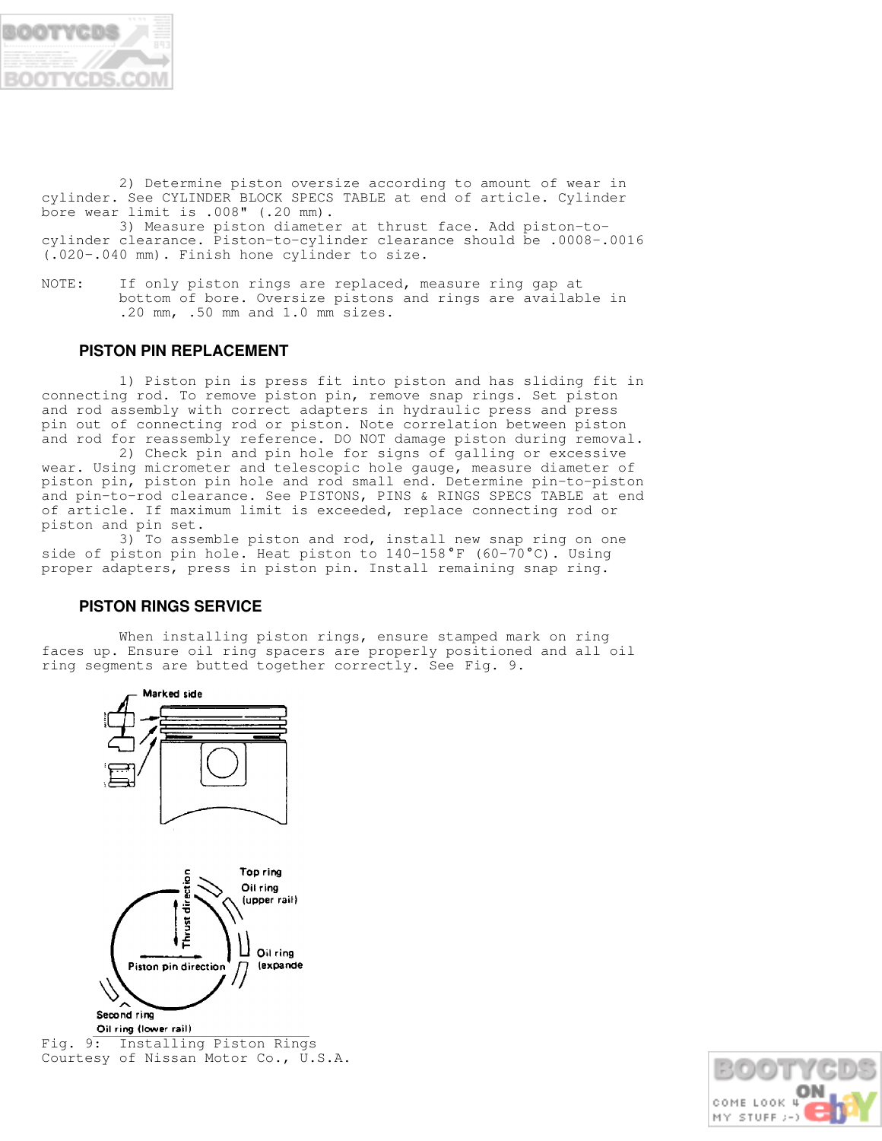

 2) Determine piston oversize according to amount of wear in cylinder. See CYLINDER BLOCK SPECS TABLE at end of article. Cylinder bore wear limit is .008" (.20 mm).

 3) Measure piston diameter at thrust face. Add piston-tocylinder clearance. Piston-to-cylinder clearance should be .0008-.0016 (.020-.040 mm). Finish hone cylinder to size.

NOTE: If only piston rings are replaced, measure ring gap at bottom of bore. Oversize pistons and rings are available in .20 mm, .50 mm and 1.0 mm sizes.

## **PISTON PIN REPLACEMENT**

 1) Piston pin is press fit into piston and has sliding fit in connecting rod. To remove piston pin, remove snap rings. Set piston and rod assembly with correct adapters in hydraulic press and press pin out of connecting rod or piston. Note correlation between piston and rod for reassembly reference. DO NOT damage piston during removal.

 2) Check pin and pin hole for signs of galling or excessive wear. Using micrometer and telescopic hole gauge, measure diameter of piston pin, piston pin hole and rod small end. Determine pin-to-piston and pin-to-rod clearance. See PISTONS, PINS & RINGS SPECS TABLE at end of article. If maximum limit is exceeded, replace connecting rod or piston and pin set.

 3) To assemble piston and rod, install new snap ring on one side of piston pin hole. Heat piston to 140-158°F (60-70°C). Using proper adapters, press in piston pin. Install remaining snap ring.

## **PISTON RINGS SERVICE**

When installing piston rings, ensure stamped mark on ring faces up. Ensure oil ring spacers are properly positioned and all oil ring segments are butted together correctly. See Fig. 9.





Fig. 9: Installing Piston Rings Courtesy of Nissan Motor Co., U.S.A.

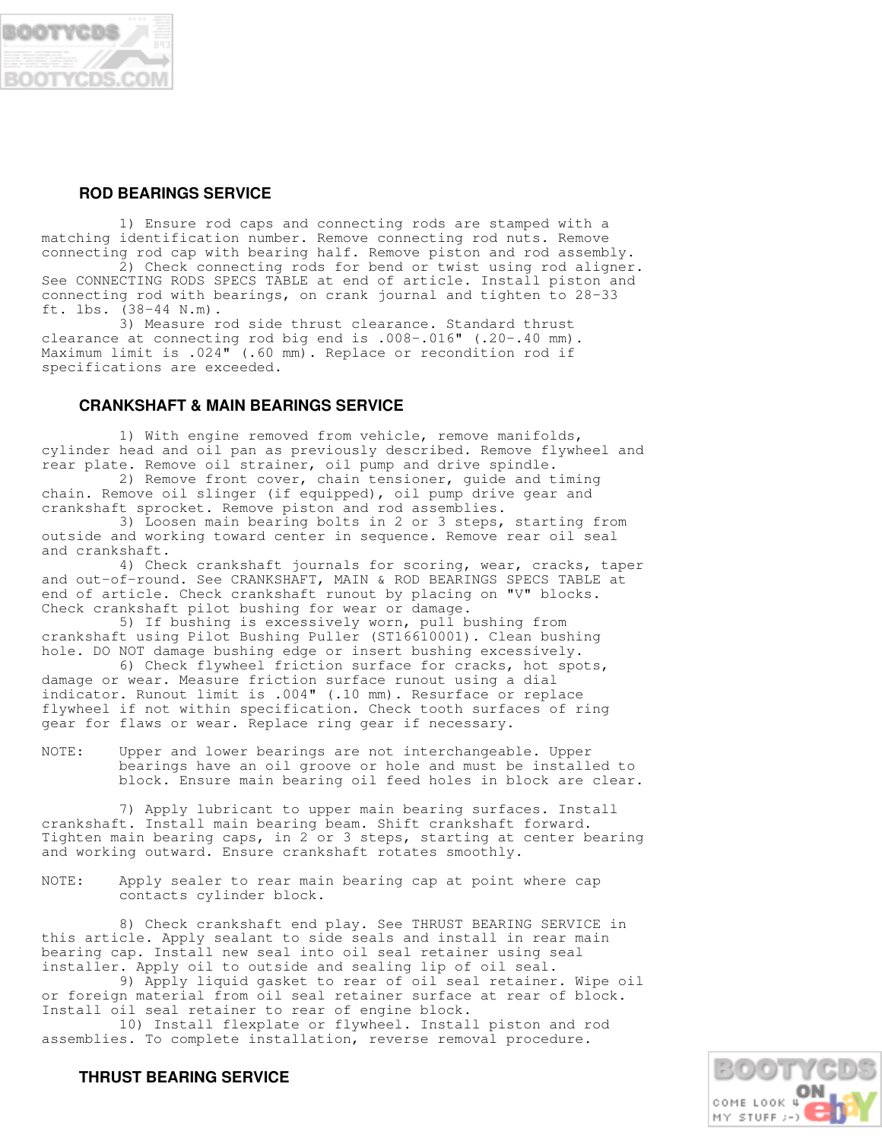

## **ROD BEARINGS SERVICE**

 1) Ensure rod caps and connecting rods are stamped with a matching identification number. Remove connecting rod nuts. Remove connecting rod cap with bearing half. Remove piston and rod assembly.

 2) Check connecting rods for bend or twist using rod aligner. See CONNECTING RODS SPECS TABLE at end of article. Install piston and connecting rod with bearings, on crank journal and tighten to 28-33 ft. lbs. (38-44 N.m).

 3) Measure rod side thrust clearance. Standard thrust clearance at connecting rod big end is .008-.016" (.20-.40 mm). Maximum limit is .024" (.60 mm). Replace or recondition rod if specifications are exceeded.

## **CRANKSHAFT & MAIN BEARINGS SERVICE**

 1) With engine removed from vehicle, remove manifolds, cylinder head and oil pan as previously described. Remove flywheel and rear plate. Remove oil strainer, oil pump and drive spindle.

 2) Remove front cover, chain tensioner, guide and timing chain. Remove oil slinger (if equipped), oil pump drive gear and crankshaft sprocket. Remove piston and rod assemblies.

 3) Loosen main bearing bolts in 2 or 3 steps, starting from outside and working toward center in sequence. Remove rear oil seal and crankshaft.

 4) Check crankshaft journals for scoring, wear, cracks, taper and out-of-round. See CRANKSHAFT, MAIN & ROD BEARINGS SPECS TABLE at end of article. Check crankshaft runout by placing on "V" blocks. Check crankshaft pilot bushing for wear or damage.

 5) If bushing is excessively worn, pull bushing from crankshaft using Pilot Bushing Puller (ST16610001). Clean bushing hole. DO NOT damage bushing edge or insert bushing excessively.

 6) Check flywheel friction surface for cracks, hot spots, damage or wear. Measure friction surface runout using a dial indicator. Runout limit is .004" (.10 mm). Resurface or replace flywheel if not within specification. Check tooth surfaces of ring gear for flaws or wear. Replace ring gear if necessary.

NOTE: Upper and lower bearings are not interchangeable. Upper bearings have an oil groove or hole and must be installed to block. Ensure main bearing oil feed holes in block are clear.

 7) Apply lubricant to upper main bearing surfaces. Install crankshaft. Install main bearing beam. Shift crankshaft forward. Tighten main bearing caps, in 2 or 3 steps, starting at center bearing and working outward. Ensure crankshaft rotates smoothly.

NOTE: Apply sealer to rear main bearing cap at point where cap contacts cylinder block.

 8) Check crankshaft end play. See THRUST BEARING SERVICE in this article. Apply sealant to side seals and install in rear main bearing cap. Install new seal into oil seal retainer using seal installer. Apply oil to outside and sealing lip of oil seal.

 9) Apply liquid gasket to rear of oil seal retainer. Wipe oil or foreign material from oil seal retainer surface at rear of block. Install oil seal retainer to rear of engine block.

 10) Install flexplate or flywheel. Install piston and rod assemblies. To complete installation, reverse removal procedure.



## **THRUST BEARING SERVICE**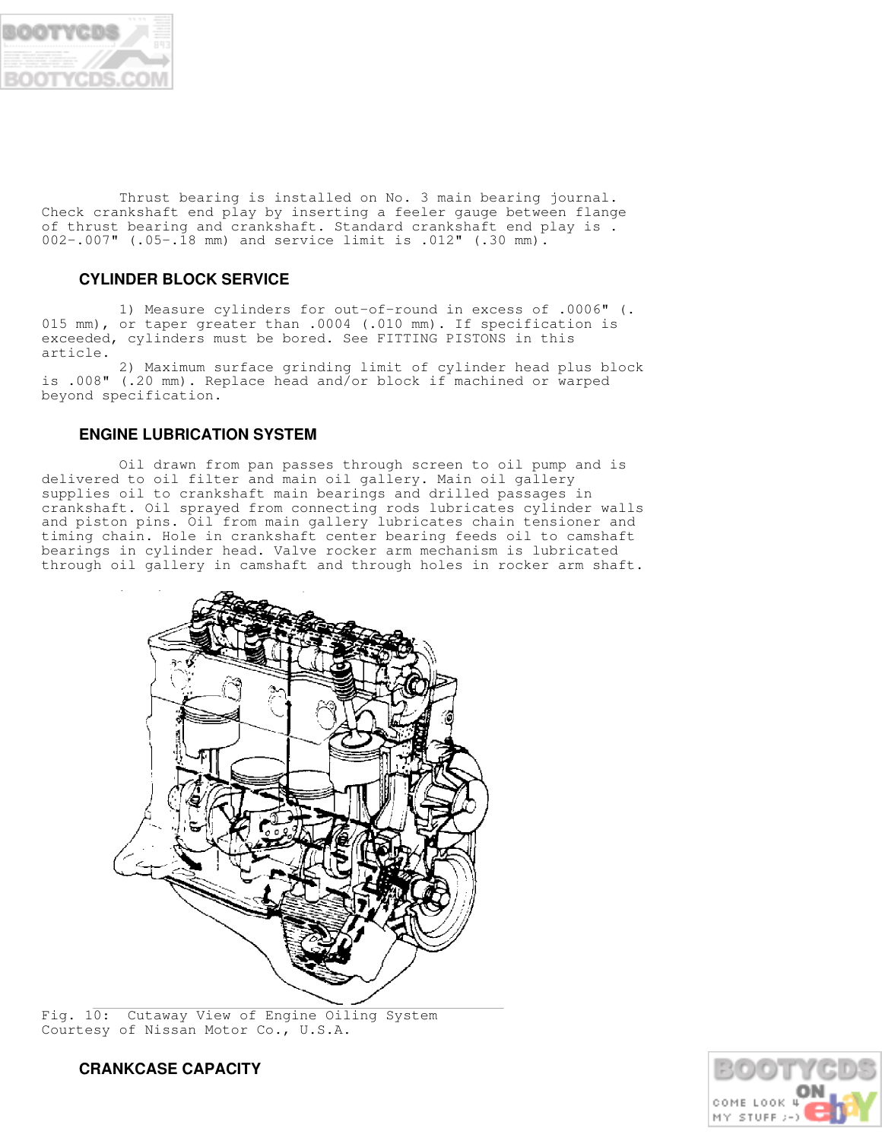

 Thrust bearing is installed on No. 3 main bearing journal. Check crankshaft end play by inserting a feeler gauge between flange of thrust bearing and crankshaft. Standard crankshaft end play is . 002-.007" (.05-.18 mm) and service limit is .012" (.30 mm).

## **CYLINDER BLOCK SERVICE**

 1) Measure cylinders for out-of-round in excess of .0006" (. 015 mm), or taper greater than .0004 (.010 mm). If specification is exceeded, cylinders must be bored. See FITTING PISTONS in this article.

 2) Maximum surface grinding limit of cylinder head plus block is .008" (.20 mm). Replace head and/or block if machined or warped beyond specification.

## **ENGINE LUBRICATION SYSTEM**

 Oil drawn from pan passes through screen to oil pump and is delivered to oil filter and main oil gallery. Main oil gallery supplies oil to crankshaft main bearings and drilled passages in crankshaft. Oil sprayed from connecting rods lubricates cylinder walls and piston pins. Oil from main gallery lubricates chain tensioner and timing chain. Hole in crankshaft center bearing feeds oil to camshaft bearings in cylinder head. Valve rocker arm mechanism is lubricated through oil gallery in camshaft and through holes in rocker arm shaft.



Fig. 10: Cutaway View of Engine Oiling System Courtesy of Nissan Motor Co., U.S.A.

 **CRANKCASE CAPACITY**

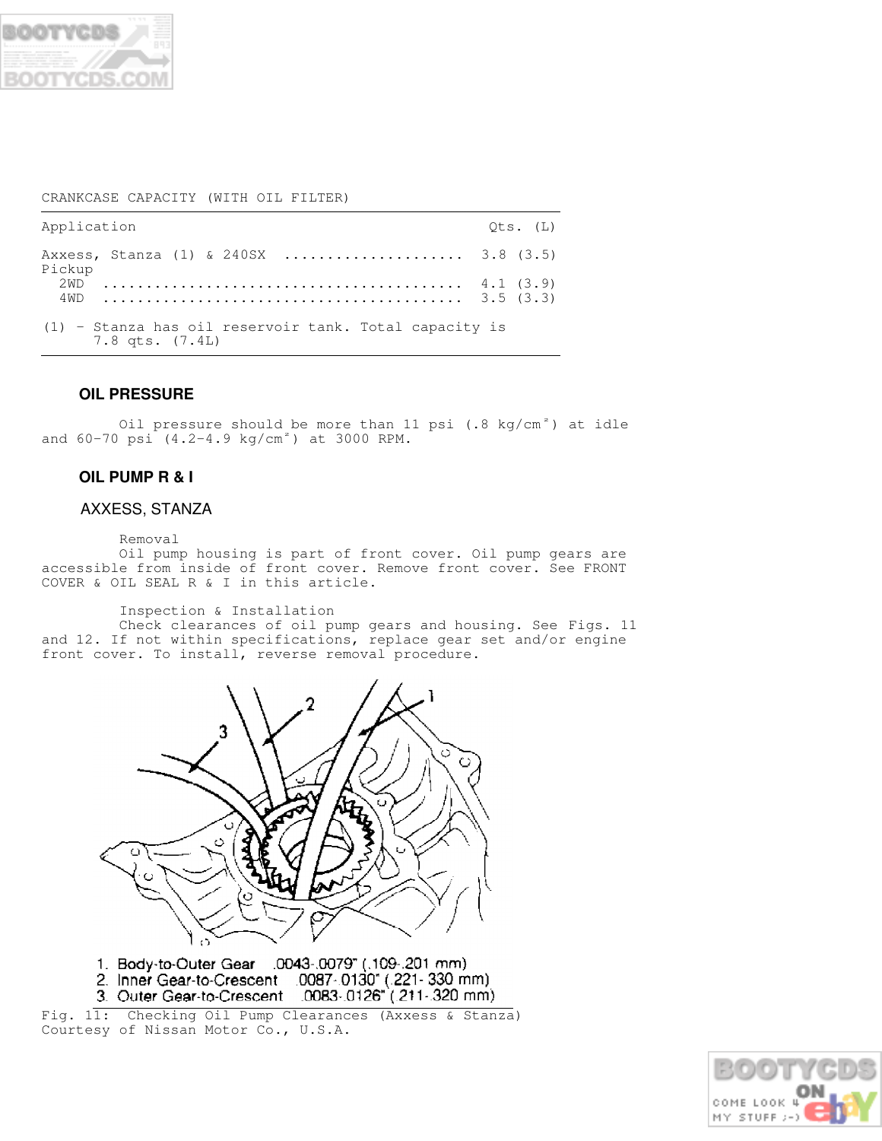

## CRANKCASE CAPACITY (WITH OIL FILTER)

| Application                                                                     | Ots. (L) |
|---------------------------------------------------------------------------------|----------|
| Axxess, Stanza (1) & 240SX  3.8 (3.5)<br>Pickup                                 |          |
| 2.WD                                                                            |          |
| $(1)$ - Stanza has oil reservoir tank. Total capacity is<br>$7.8$ qts. $(7.4L)$ |          |

## **OIL PRESSURE**

Oil pressure should be more than 11 psi  $(.8 \text{ kg/cm}^2)$  at idle and  $60-70$  psi  $(4.2-4.9$  kg/cm<sup>2</sup>) at 3000 RPM.

## **OIL PUMP R & I**

## AXXESS, STANZA

Removal

 Oil pump housing is part of front cover. Oil pump gears are accessible from inside of front cover. Remove front cover. See FRONT COVER & OIL SEAL R & I in this article.

Inspection & Installation

 Check clearances of oil pump gears and housing. See Figs. 11 and 12. If not within specifications, replace gear set and/or engine front cover. To install, reverse removal procedure.



1. Body-to-Outer Gear .0043-.0079" (.109-.201 mm) 

Fig. 11: Checking Oil Pump Clearances (Axxess & Stanza) Courtesy of Nissan Motor Co., U.S.A.

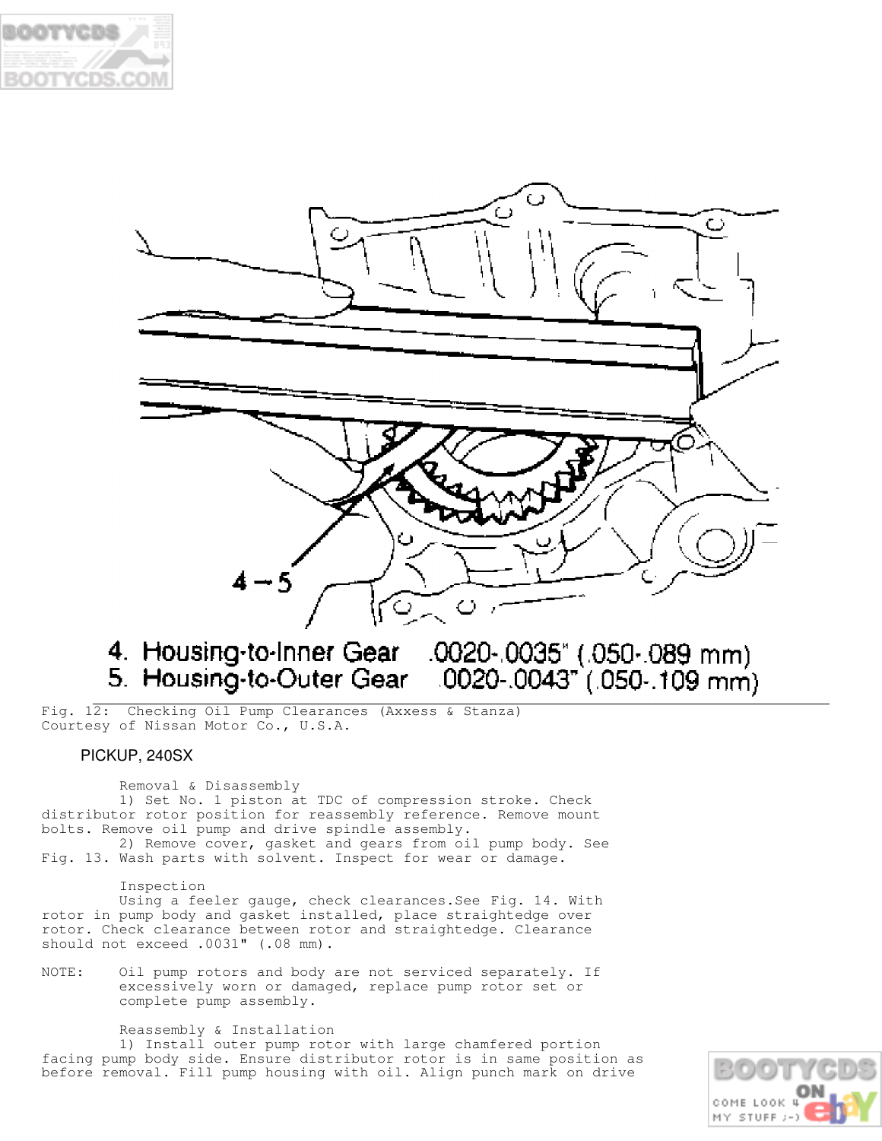



# 

Fig. 12: Checking Oil Pump Clearances (Axxess & Stanza) Courtesy of Nissan Motor Co., U.S.A.

## PICKUP, 240SX

 Removal & Disassembly 1) Set No. 1 piston at TDC of compression stroke. Check distributor rotor position for reassembly reference. Remove mount bolts. Remove oil pump and drive spindle assembly.

 2) Remove cover, gasket and gears from oil pump body. See Fig. 13. Wash parts with solvent. Inspect for wear or damage.

#### Inspection

 Using a feeler gauge, check clearances.See Fig. 14. With rotor in pump body and gasket installed, place straightedge over rotor. Check clearance between rotor and straightedge. Clearance should not exceed .0031" (.08 mm).

NOTE: Oil pump rotors and body are not serviced separately. If excessively worn or damaged, replace pump rotor set or complete pump assembly.

Reassembly & Installation

 1) Install outer pump rotor with large chamfered portion facing pump body side. Ensure distributor rotor is in same position as before removal. Fill pump housing with oil. Align punch mark on drive

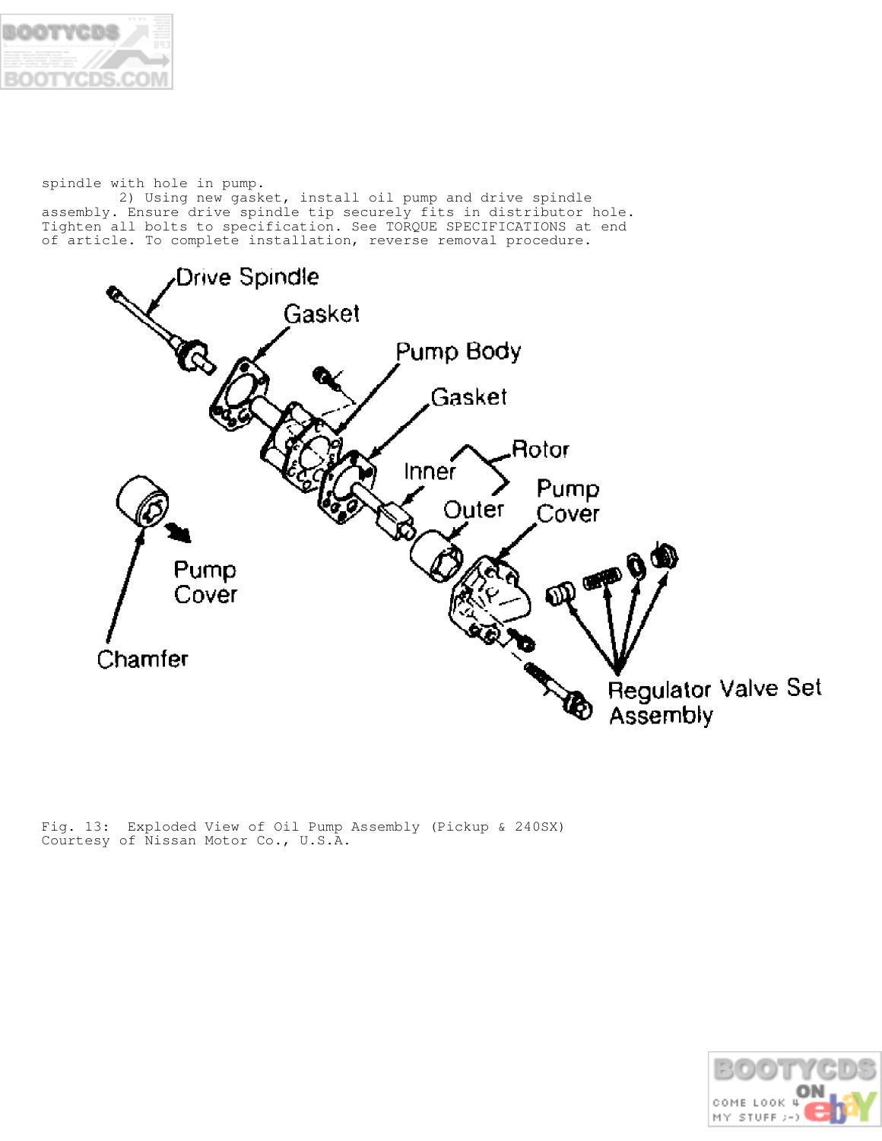

spindle with hole in pump.

 2) Using new gasket, install oil pump and drive spindle assembly. Ensure drive spindle tip securely fits in distributor hole. Tighten all bolts to specification. See TORQUE SPECIFICATIONS at end of article. To complete installation, reverse removal procedure.



Fig. 13: Exploded View of Oil Pump Assembly (Pickup & 240SX) Courtesy of Nissan Motor Co., U.S.A.

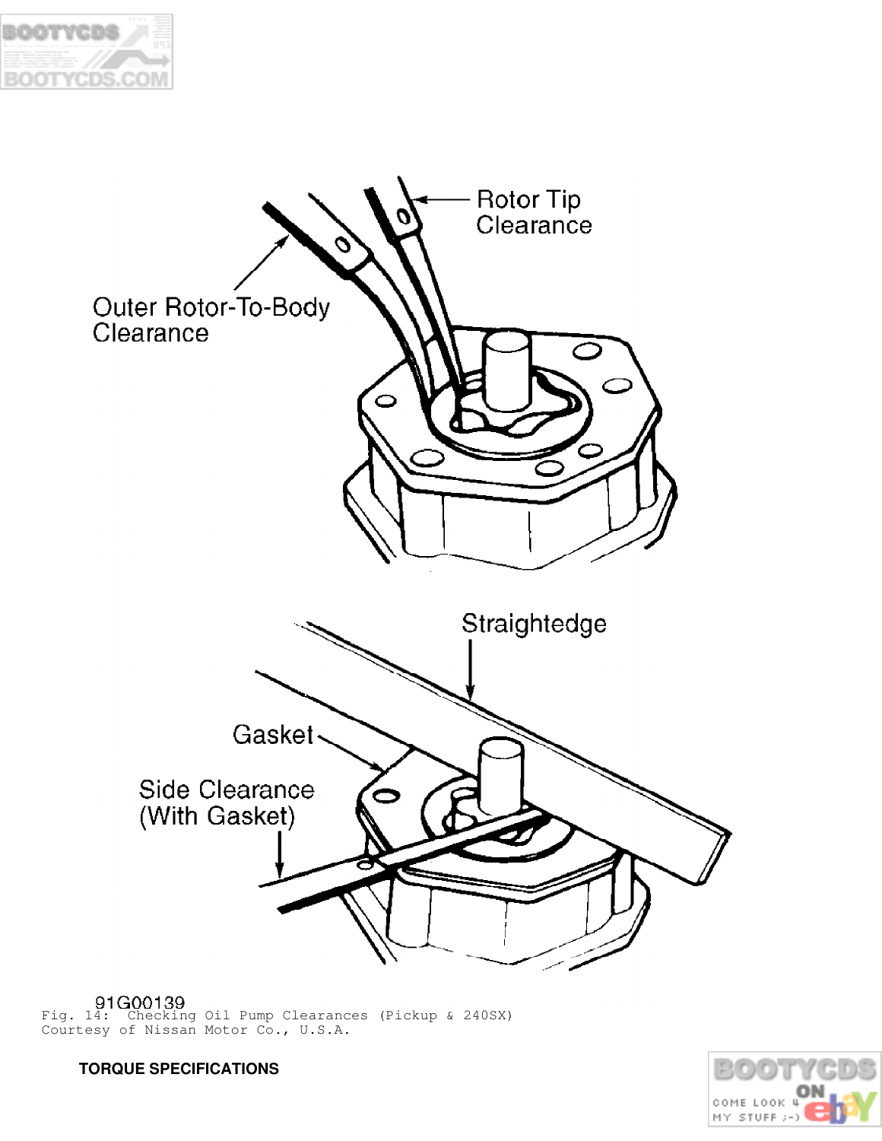



Fig. 14: Checking Oil Pump Clearances (Pickup & 240SX) Courtesy of Nissan Motor Co., U.S.A.



 **TORQUE SPECIFICATIONS**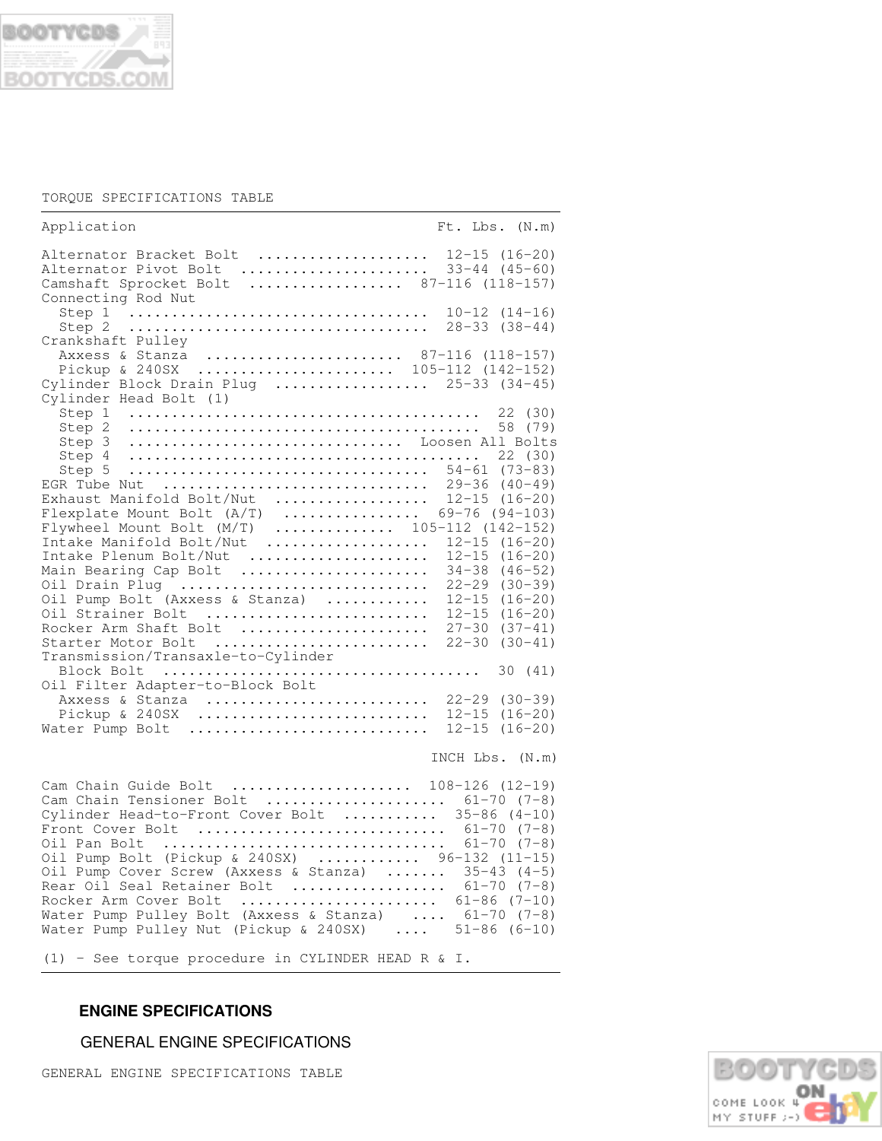

### TORQUE SPECIFICATIONS TABLE

| Application<br>$Ft$ . Lbs. $(N.m)$                                                                                                                                                                                                                                                                                                                                                              |
|-------------------------------------------------------------------------------------------------------------------------------------------------------------------------------------------------------------------------------------------------------------------------------------------------------------------------------------------------------------------------------------------------|
| Alternator Bracket Bolt  12-15 (16-20)<br>Alternator Pivot Bolt<br>$33 - 44$ $(45 - 60)$<br>Camshaft Sprocket Bolt  87-116 (118-157)<br>Connecting Rod Nut                                                                                                                                                                                                                                      |
| $10-12(14-16)$<br>$28 - 33$ $(38 - 44)$<br>Crankshaft Pulley                                                                                                                                                                                                                                                                                                                                    |
| Axxess & Stanza  87-116 (118-157)<br>Pickup & 240SX  105-112 (142-152)<br>Cylinder Block Drain Plug  25-33 (34-45)                                                                                                                                                                                                                                                                              |
| Step 2<br>58 (79)<br>Loosen All Bolts<br>Step 3<br>Step 4<br>22(30)<br>54-61 (73-83)<br>Step 5<br>$29 - 36$ (40-49)<br>EGR Tube Nut<br>Exhaust Manifold Bolt/Nut<br>$12 - 15$ $(16 - 20)$<br>.<br>$69 - 76$ (94-103)<br>Flexplate Mount Bolt $(A/T)$<br>Flywheel Mount Bolt $(M/T)$ 105-112 (142-152)<br>$12 - 15$ $(16 - 20)$<br>Intake Manifold Bolt/Nut<br>.                                 |
| $12 - 15$ $(16 - 20)$<br>Intake Plenum Bolt/Nut<br>Main Bearing Cap Bolt<br>$34-38$ $(46-52)$<br>Oil Drain Plug<br>$22 - 29$ $(30 - 39)$<br>Oil Pump Bolt (Axxess & Stanza)<br>$12 - 15$ $(16 - 20)$<br>Oil Strainer Bolt<br>$12 - 15$ $(16 - 20)$<br>Rocker Arm Shaft Bolt<br>$27 - 30$<br>$(37 - 41)$<br>$22 - 30$<br>$(30 - 41)$<br>Starter Motor Bolt<br>Transmission/Transaxle-to-Cylinder |
| Oil Filter Adapter-to-Block Bolt<br>Axxess & Stanza<br>$22 - 29$ $(30 - 39)$<br>$12 - 15$<br>$(16 - 20)$<br>Pickup & $240SX$<br>$12 - 15$ $(16 - 20)$<br>Water Pump Bolt                                                                                                                                                                                                                        |

## INCH Lbs. (N.m)

| Cam Chain Guide Bolt  108-126 (12-19)                                            |
|----------------------------------------------------------------------------------|
| Cam Chain Tensioner Bolt $\ldots \ldots \ldots \ldots \ldots \ldots$ 61-70 (7-8) |
| Cylinder Head-to-Front Cover Bolt $35-86$ (4-10)                                 |
| Front Cover Bolt $61-70$ (7-8)                                                   |
| Oil Pan Bolt  61-70 (7-8)                                                        |
| Oil Pump Bolt (Pickup & 240SX)  96-132 (11-15)                                   |
| Oil Pump Cover Screw (Axxess & Stanza)  35-43 (4-5)                              |
| Rear Oil Seal Retainer Bolt $\ldots \ldots \ldots \ldots$ 61-70 (7-8)            |
| Rocker Arm Cover Bolt $\ldots \ldots \ldots \ldots \ldots \ldots$ 61-86 (7-10)   |
| Water Pump Pulley Bolt (Axxess & Stanza) $61-70$ (7-8)                           |
| Water Pump Pulley Nut (Pickup & 240SX) $\ldots$ 51-86 (6-10)                     |

(1) - See torque procedure in CYLINDER HEAD R & I.

## **ENGINE SPECIFICATIONS**

GENERAL ENGINE SPECIFICATIONS

GENERAL ENGINE SPECIFICATIONS TABLE

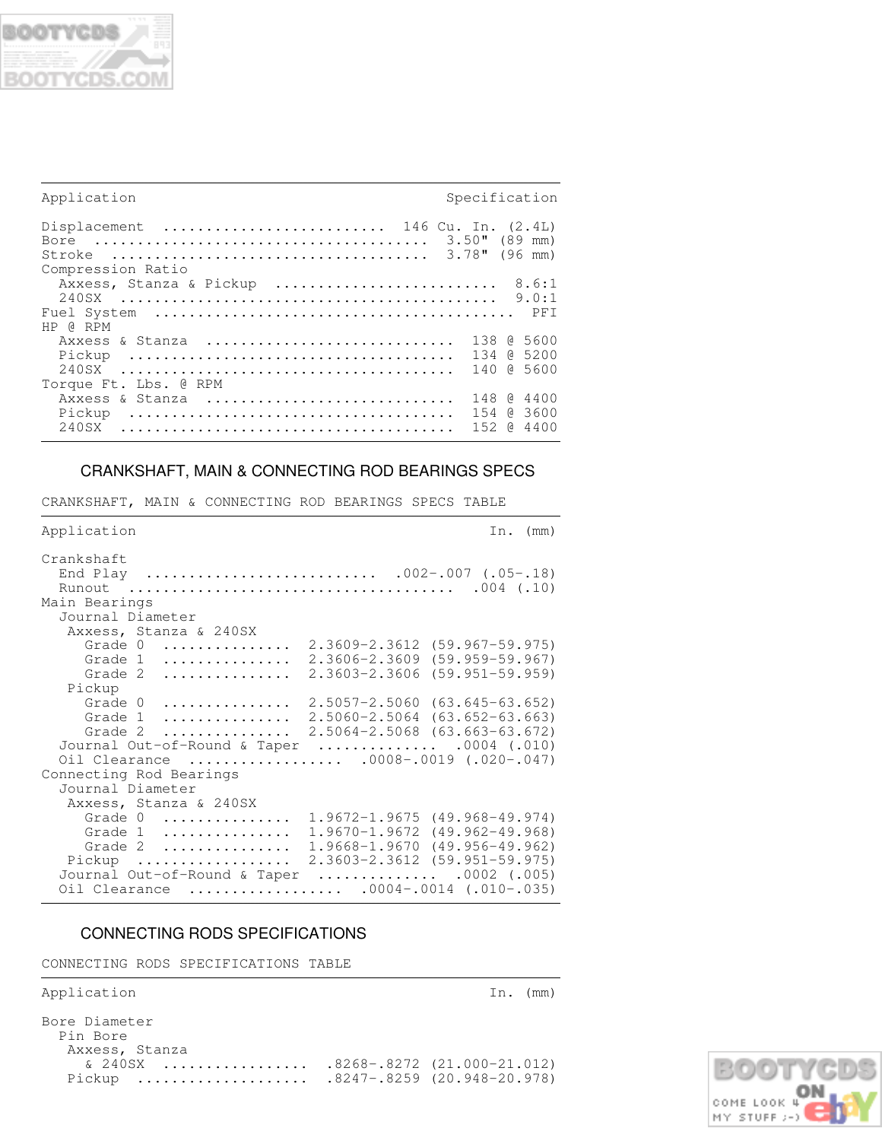

| Application                                                        | Specification         |
|--------------------------------------------------------------------|-----------------------|
| Displacement  146 Cu. In. $(2.4L)$<br>Stroke<br>Compression Ratio  | $3.50$ " (89 mm)      |
| Axxess, Stanza & Pickup  8.6:1<br>240SX                            |                       |
| HP @ RPM<br>Axxess & Stanza  138 @ 5600<br>Pickup                  |                       |
| Torque Ft. Lbs. @ RPM<br>Axxess & Stanza  148 @<br>Pickup<br>240SX | 4400<br>152 0<br>4400 |

## CRANKSHAFT, MAIN & CONNECTING ROD BEARINGS SPECS

CRANKSHAFT, MAIN & CONNECTING ROD BEARINGS SPECS TABLE

| Application                                                                 | (mm)<br>In.                                                                                                                                                                                                                                                          |
|-----------------------------------------------------------------------------|----------------------------------------------------------------------------------------------------------------------------------------------------------------------------------------------------------------------------------------------------------------------|
| Crankshaft<br>Main Bearings                                                 | $.004$ $(.10)$                                                                                                                                                                                                                                                       |
| Journal Diameter                                                            |                                                                                                                                                                                                                                                                      |
| Axxess, Stanza & 240SX<br>Grade 0<br>Grade 1<br>.<br>Grade 2<br>.<br>Pickup | $2.3609 - 2.3612$ $(59.967 - 59.975)$<br>$2.3606 - 2.3609$<br>$(59.959 - 59.967)$<br>2.3603-2.3606<br>$(59.951 - 59.959)$                                                                                                                                            |
| Grade $0$<br>Grade $1$<br>Grade 2<br>.                                      | $2.5057 - 2.5060$ $(63.645 - 63.652)$<br>$2.5060 - 2.5064$ (63.652-63.663)<br>$2.5064 - 2.5068$ $(63.663 - 63.672)$<br>Journal Out-of-Round & Taper $\ldots \ldots \ldots \ldots$ .0004 (.010)<br>Oil Clearance  .0008-.0019 (.020-.047)                             |
| Connecting Rod Bearings                                                     |                                                                                                                                                                                                                                                                      |
| Journal Diameter<br>Axxess, Stanza & 240SX                                  |                                                                                                                                                                                                                                                                      |
| Grade $0$<br>Grade 1<br>Grade $2$<br>Pickup<br>Oil Clearance                | $1.9672 - 1.9675$ $(49.968 - 49.974)$<br>$1.9670 - 1.9672$ (49.962-49.968)<br>$1.9668 - 1.9670$ $(49.956 - 49.962)$<br>$2.3603 - 2.3612$ $(59.951 - 59.975)$<br>Journal Out-of-Round & Taper $\ldots \ldots \ldots \ldots$ .0002 (.005)<br>$.0004-.0014$ (.010-.035) |

## CONNECTING RODS SPECIFICATIONS

CONNECTING RODS SPECIFICATIONS TABLE

Application In. (mm)

Bore Diameter Pin Bore Axxess, Stanza & 240SX ................. .8268-.8272 (21.000-21.012) Pickup .................... .8247-.8259 (20.948-20.978)

,我们就会不会不会。""我们,我们不会不会不会,我们不会不会不会,我们不会不会不会不会。""我们,我们不会不会不会不会。""我们,我们不会不会不会不会。""我们

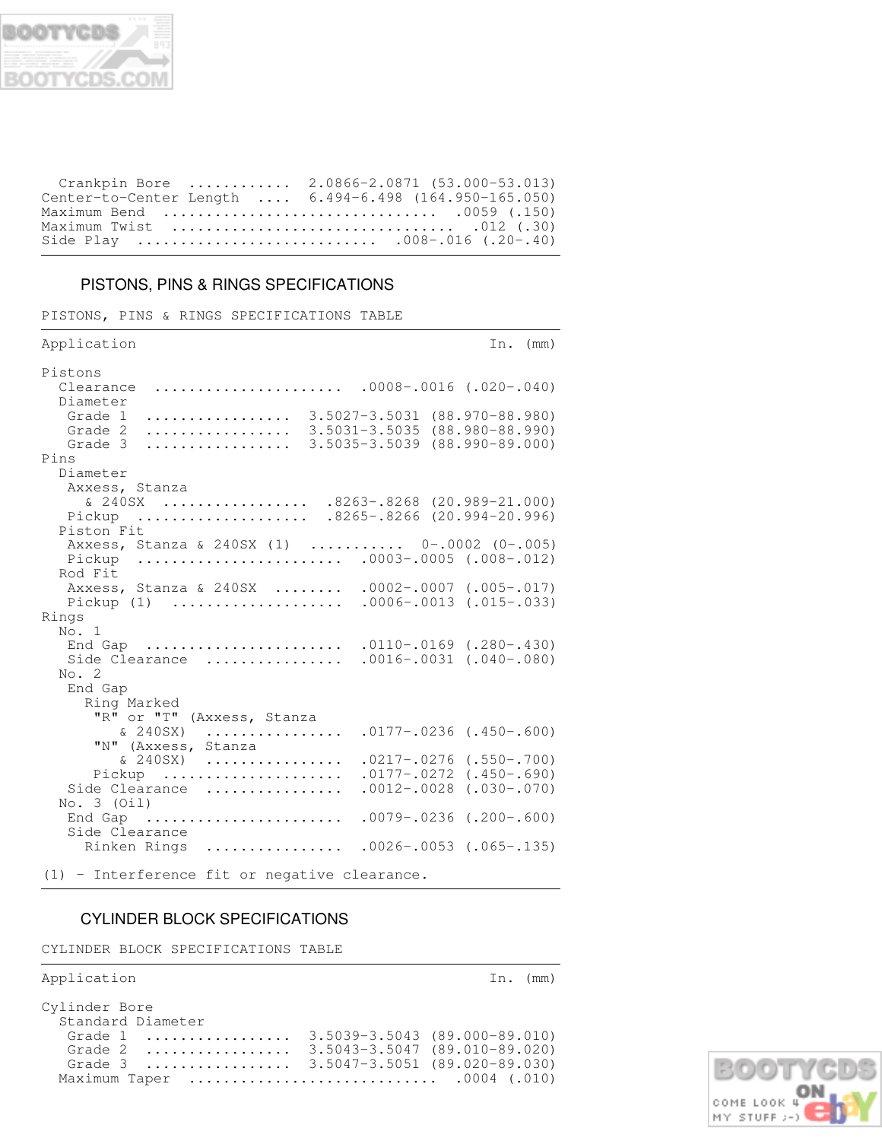

| Crankpin Bore  2.0866-2.0871 (53.000-53.013)                                       |  |
|------------------------------------------------------------------------------------|--|
| Center-to-Center Length  6.494-6.498 (164.950-165.050)                             |  |
| Maximum Bend  .0059 (.150)                                                         |  |
| Maximum Twist $\dots\dots\dots\dots\dots\dots\dots\dots\dots\dots\dots$ .012 (.30) |  |
|                                                                                    |  |

## PISTONS, PINS & RINGS SPECIFICATIONS

PISTONS, PINS & RINGS SPECIFICATIONS TABLE

| Application                                                                      | In. $(mm)$                                                                                                                                                      |
|----------------------------------------------------------------------------------|-----------------------------------------------------------------------------------------------------------------------------------------------------------------|
| Pistons<br>Clearance<br>Diameter<br>Grade 1<br>.<br>Grade 2<br>.<br>Grade 3<br>. | $.0008-.0016$ $(.020-.040)$<br>$3.5027 - 3.5031$<br>$(88.970 - 88.980)$<br>$3.5031 - 3.5035$<br>$(88.980 - 88.990)$<br>$3.5035 - 3.5039$<br>$(88.990 - 89.000)$ |
| Pins                                                                             |                                                                                                                                                                 |
| Diameter<br>Axxess, Stanza<br>& 240SX<br>Pickup<br>Piston Fit                    | $.8263-.8268$ $(20.989-21.000)$<br>$.8265-.8266$ $(20.994-20.996)$                                                                                              |
| Axxess, Stanza & 240SX (1)  0-.0002 (0-.005)<br>Pickup<br>Rod Fit                | $.0003-.0005$ (.008-.012)                                                                                                                                       |
| Axxess, Stanza & 240SX<br>Pickup(1)                                              | $.0002 - .0007$ $(.005 - .017)$<br>$.0006-.0013$ (.015-.033)                                                                                                    |
| Rings                                                                            |                                                                                                                                                                 |
| No. 1<br>End Gap<br>Side Clearance<br>No. 2<br>End Gap                           | $.0110-.0169$ $(.280-.430)$<br>$.0016-.0031$ $(.040-.080)$                                                                                                      |
| Ring Marked                                                                      |                                                                                                                                                                 |
| $"R"$ or $"T"$<br>(Axxess, Stanza<br>& 240SX)<br>.<br>"N" (Axxess,<br>Stanza     | $.0177-.0236$ $(.450-.600)$                                                                                                                                     |
| & 240SX)<br>.<br>Pickup<br>Side Clearance<br>.                                   | $.0217-.0276$ $(.550-.700)$<br>$.0177-.0272$<br>$(.450-.690)$<br>$.0012 - .0028$<br>$(.030-.070)$                                                               |
| No. $3$ (Oil)<br>End Gap<br>Side Clearance                                       | $.0079-.0236$ $(.200-.600)$                                                                                                                                     |
| Rinken Rings<br>.                                                                | $.0026-.0053$ (.065-.135)                                                                                                                                       |
| (1) - Interference fit or negative clearance.                                    |                                                                                                                                                                 |

## CYLINDER BLOCK SPECIFICATIONS

CYLINDER BLOCK SPECIFICATIONS TABLE

| Application                                                                                                                                                                                                                                                     | In. $(mm)$ |
|-----------------------------------------------------------------------------------------------------------------------------------------------------------------------------------------------------------------------------------------------------------------|------------|
| Cylinder Bore<br>Standard Diameter<br>Grade 1  3.5039-3.5043 (89.000-89.010)<br>Grade 2  3.5043-3.5047 (89.010-89.020)<br>Grade 3  3.5047-3.5051 (89.020-89.030)<br>Maximum Taper $\ldots \ldots \ldots \ldots \ldots \ldots \ldots \ldots \ldots$ .0004 (.010) |            |

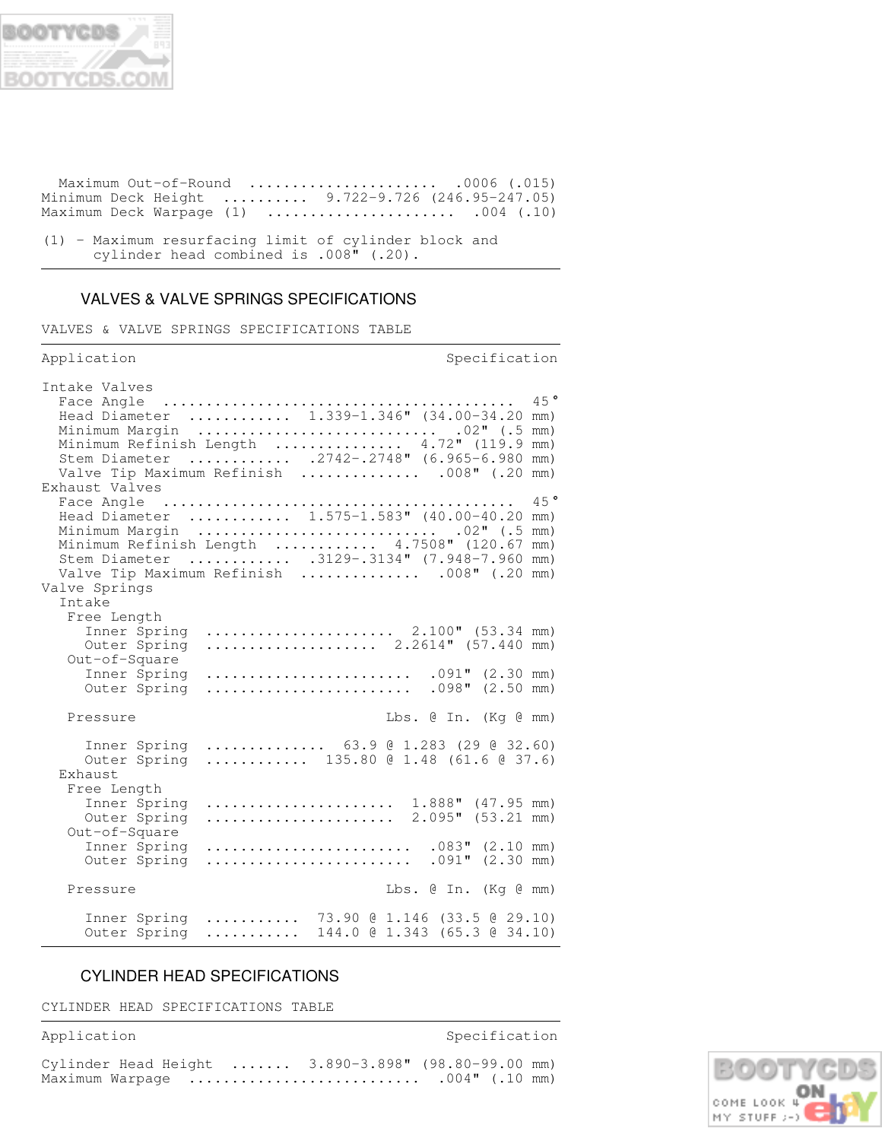

 Maximum Out-of-Round ...................... .0006 (.015) Minimum Deck Height .......... 9.722-9.726 (246.95-247.05) Maximum Deck Warpage (1) ...................... .004 (.10)

(1) - Maximum resurfacing limit of cylinder block and cylinder head combined is .008" (.20).

## VALVES & VALVE SPRINGS SPECIFICATIONS

VALVES & VALVE SPRINGS SPECIFICATIONS TABLE

| Application                                                                                                                                                                                                                                                            |  | Specification                              |     |
|------------------------------------------------------------------------------------------------------------------------------------------------------------------------------------------------------------------------------------------------------------------------|--|--------------------------------------------|-----|
| Intake Valves<br>Minimum Margin  .02" (.5 mm)<br>Minimum Refinish Length  4.72" (119.9 mm)<br>Stem Diameter  .2742-.2748" (6.965-6.980 mm)<br>Valve Tip Maximum Refinish  .008" (.20 mm)                                                                               |  |                                            | 45° |
| Exhaust Valves<br>Head Diameter  1.575-1.583" (40.00-40.20 mm)<br>Minimum Margin  02" (.5 mm)<br>Minimum Refinish Length  4.7508" (120.67 mm)<br>Stem Diameter  .3129-.3134" (7.948-7.960 mm)<br>Valve Tip Maximum Refinish  .008" (.20 mm)<br>Valve Springs<br>Intake |  |                                            | 45° |
| Free Length<br>Inner Spring  2.100" (53.34 mm)<br>Outer Spring  2.2614" (57.440 mm)<br>Out-of-Square<br>Inner Spring<br>Outer Spring                                                                                                                                   |  | $.091"$ $(2.30$ mm)<br>$.098"$ $(2.50$ mm) |     |
| Pressure                                                                                                                                                                                                                                                               |  | Lbs. @ In. (Kq @ mm)                       |     |
| Inner Spring  63.9 @ 1.283 (29 @ 32.60)<br>Outer Spring  135.80 @ 1.48 (61.6 @ 37.6)<br>Exhaust                                                                                                                                                                        |  |                                            |     |
| Free Length<br>Inner Spring  1.888" (47.95 mm)<br>Outer Spring  2.095" (53.21 mm)<br>Out-of-Square                                                                                                                                                                     |  |                                            |     |
| Inner Spring  .083" (2.10 mm)<br>Outer Spring                                                                                                                                                                                                                          |  | $.091"$ $(2.30$ mm)                        |     |
| Pressure                                                                                                                                                                                                                                                               |  | Lbs. @ In. (Kg @ mm)                       |     |
| Inner Spring  73.90 @ 1.146 (33.5 @ 29.10)<br>Outer Spring  144.0 @ 1.343 (65.3 @ 34.10)                                                                                                                                                                               |  |                                            |     |

## CYLINDER HEAD SPECIFICATIONS

CYLINDER HEAD SPECIFICATIONS TABLE

Application Specification Specification

| Cylinder Head Height  3.890-3.898" (98.80-99.00 mm) |  |                   |  |
|-----------------------------------------------------|--|-------------------|--|
| Maximum Warpage                                     |  | $.004$ " (.10 mm) |  |